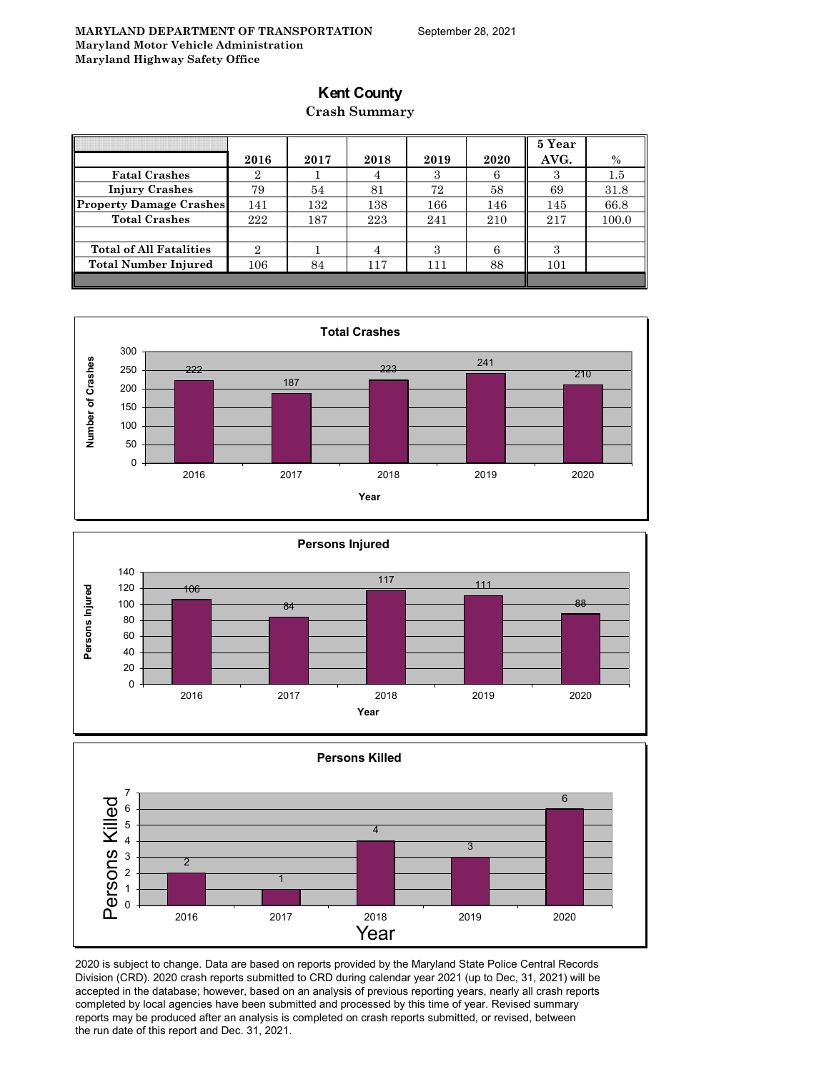## **Kent County**

### **Crash Summary**

|                                | 2016           | 2017 | 2018 | 2019 | 2020 | 5 Year<br>AVG. | $\%$    |
|--------------------------------|----------------|------|------|------|------|----------------|---------|
| <b>Fatal Crashes</b>           | 2              |      | 4    | 3    |      |                | $1.5\,$ |
| <b>Injury Crashes</b>          | 79             | 54   | 81   | 72   | 58   | 69             | 31.8    |
| <b>Property Damage Crashes</b> | 141            | 132  | 138  | 166  | 146  | 145            | 66.8    |
| <b>Total Crashes</b>           | 222            | 187  | 223  | 241  | 210  | 217            | 100.0   |
|                                |                |      |      |      |      |                |         |
| <b>Total of All Fatalities</b> | $\overline{2}$ |      |      | 3    |      | 3              |         |
| <b>Total Number Injured</b>    | 106            | 84   | 117  | 111  | 88   | 101            |         |
|                                |                |      |      |      |      |                |         |







2020 is subject to change. Data are based on reports provided by the Maryland State Police Central Records Division (CRD). 2020 crash reports submitted to CRD during calendar year 2021 (up to Dec, 31, 2021) will be accepted in the database; however, based on an analysis of previous reporting years, nearly all crash reports completed by local agencies have been submitted and processed by this time of year. Revised summary reports may be produced after an analysis is completed on crash reports submitted, or revised, between the run date of this report and Dec. 31, 2021.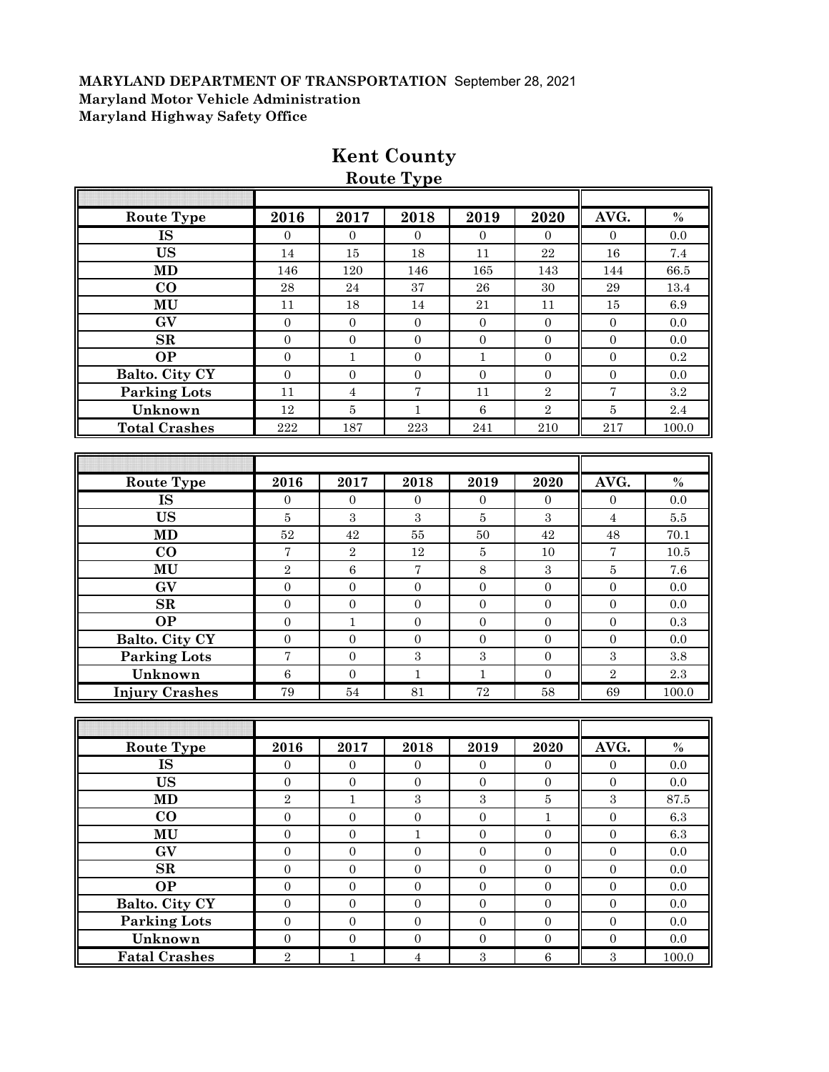| <b>Route Type</b>      | 2016             | 2017             | 2018              | 2019             | 2020             | AVG.             | $\%$      |
|------------------------|------------------|------------------|-------------------|------------------|------------------|------------------|-----------|
| <b>IS</b>              | $\boldsymbol{0}$ | $\overline{0}$   | $\overline{0}$    | $\overline{0}$   | $\theta$         | $\overline{0}$   | 0.0       |
| <b>US</b>              | 14               | 15               | 18                | 11               | 22               | 16               | 7.4       |
| <b>MD</b>              | 146              | 120              | 146               | 165              | 143              | 144              | 66.5      |
| $\bf CO$               | 28               | 24               | 37                | 26               | $30\,$           | 29               | 13.4      |
| MU                     | 11               | 18               | 14                | 21               | 11               | 15               | 6.9       |
| GV                     | $\overline{0}$   | $\mathbf{0}$     | $\boldsymbol{0}$  | $\mathbf{0}$     | $\overline{0}$   | $\mathbf{0}$     | 0.0       |
| SR                     | $\boldsymbol{0}$ | $\boldsymbol{0}$ | $\boldsymbol{0}$  | $\boldsymbol{0}$ | $\overline{0}$   | $\mathbf{0}$     | 0.0       |
| <b>OP</b>              | $\overline{0}$   | $\mathbf{1}$     | $\boldsymbol{0}$  | $\mathbf{1}$     | $\overline{0}$   | $\overline{0}$   | 0.2       |
| Balto. City CY         | $\overline{0}$   | $\boldsymbol{0}$ | $\boldsymbol{0}$  | $\boldsymbol{0}$ | $\boldsymbol{0}$ | $\boldsymbol{0}$ | 0.0       |
| <b>Parking Lots</b>    | 11               | $\overline{4}$   | $\scriptstyle{7}$ | 11               | $\sqrt{2}$       | $\overline{7}$   | $\rm 3.2$ |
| Unknown                | 12               | $\bf 5$          | $\mathbf{1}$      | $\,6\,$          | $\sqrt{2}$       | $\bf 5$          | 2.4       |
| <b>Total Crashes</b>   | 222              | 187              | 223               | 241              | 210              | 217              | 100.0     |
|                        |                  |                  |                   |                  |                  |                  |           |
|                        |                  |                  |                   |                  |                  |                  |           |
| <b>Route Type</b>      | 2016             | 2017             | 2018              | 2019             | 2020             | AVG.             | $\%$      |
| <b>IS</b>              | $\overline{0}$   | $\theta$         | $\mathbf{0}$      | $\overline{0}$   | $\overline{0}$   | $\overline{0}$   | 0.0       |
| <b>US</b>              | $\bf 5$          | $\boldsymbol{3}$ | $\boldsymbol{3}$  | $\overline{5}$   | $\boldsymbol{3}$ | $\sqrt{4}$       | $5.5\,$   |
| MD                     | $52\,$           | 42               | $55\,$            | 50               | $42\,$           | 48               | 70.1      |
| $\bf CO$               | $\sqrt{ }$       | $\sqrt{2}$       | 12                | $\bf 5$          | 10               | $\sqrt{ }$       | 10.5      |
| MU                     | $\overline{2}$   | $\,6\,$          | $\sqrt{ }$        | 8                | $\sqrt{3}$       | $\bf 5$          | 7.6       |
| GV                     | $\overline{0}$   | $\mathbf{0}$     | $\mathbf{0}$      | $\boldsymbol{0}$ | $\mathbf{0}$     | $\boldsymbol{0}$ | 0.0       |
| SR                     | $\overline{0}$   | $\boldsymbol{0}$ | $\boldsymbol{0}$  | $\overline{0}$   | $\overline{0}$   | $\boldsymbol{0}$ | 0.0       |
| <b>OP</b>              | $\overline{0}$   | $\mathbf{1}$     | $\boldsymbol{0}$  | $\boldsymbol{0}$ | $\boldsymbol{0}$ | $\mathbf{0}$     | 0.3       |
| Balto. City CY         | $\boldsymbol{0}$ | $\boldsymbol{0}$ | $\boldsymbol{0}$  | $\boldsymbol{0}$ | $\boldsymbol{0}$ | $\mathbf{0}$     | 0.0       |
| <b>Parking Lots</b>    | $\overline{7}$   | $\boldsymbol{0}$ | $\,3$             | $\,3$            | $\overline{0}$   | $\sqrt{3}$       | 3.8       |
| Unknown                | $\,6\,$          | $\mathbf{0}$     | $\mathbf{1}$      | $\mathbf{1}$     | $\boldsymbol{0}$ | $\sqrt{2}$       | 2.3       |
| <b>Injury Crashes</b>  | 79               | 54               | 81                | 72               | 58               | 69               | 100.0     |
|                        |                  |                  |                   |                  |                  |                  |           |
|                        |                  |                  |                   |                  |                  |                  |           |
| <b>Route Type</b>      | 2016             | 2017             | 2018              | 2019             | 2020             | AVG.             | $\%$      |
| <b>IS</b>              | $\boldsymbol{0}$ | $\mathbf{0}$     | $\boldsymbol{0}$  | $\mathbf{0}$     | $\mathbf{0}$     | $\boldsymbol{0}$ | 0.0       |
| <b>US</b>              | $\boldsymbol{0}$ | $\boldsymbol{0}$ | $\boldsymbol{0}$  | $\boldsymbol{0}$ | $\boldsymbol{0}$ | $\boldsymbol{0}$ | 0.0       |
| <b>MD</b>              | $\sqrt{2}$       | $\,1\,$          | $\,3\,$           | $\,3$            | $\bf 5$          | $\,3$            | $87.5\,$  |
| $\bf{CO}$              | $\overline{0}$   | $\mathbf{0}$     | $\overline{0}$    | $\overline{0}$   | $\mathbf{1}$     | $\overline{0}$   | $6.3\,$   |
| MU                     | $\boldsymbol{0}$ | $\boldsymbol{0}$ | $\,1\,$           | $\boldsymbol{0}$ | $\boldsymbol{0}$ | $\boldsymbol{0}$ | $6.3\,$   |
| $\mathbf{G}\mathbf{V}$ | $\boldsymbol{0}$ | $\boldsymbol{0}$ | $\boldsymbol{0}$  | $\boldsymbol{0}$ | $\mathbf{0}$     | $\boldsymbol{0}$ | $0.0\,$   |
| $\mathbf{SR}$          | $\boldsymbol{0}$ | $\boldsymbol{0}$ | $\boldsymbol{0}$  | $\boldsymbol{0}$ | $\boldsymbol{0}$ | $\boldsymbol{0}$ | $0.0\,$   |
| <b>OP</b>              | $\boldsymbol{0}$ | $\boldsymbol{0}$ | $\boldsymbol{0}$  | $\boldsymbol{0}$ | $\boldsymbol{0}$ | $\boldsymbol{0}$ | $0.0\,$   |
| Balto. City CY         | $\boldsymbol{0}$ | $\boldsymbol{0}$ | $\boldsymbol{0}$  | $\boldsymbol{0}$ | $\boldsymbol{0}$ | $\boldsymbol{0}$ | 0.0       |
| <b>Parking Lots</b>    | $\boldsymbol{0}$ | $\boldsymbol{0}$ | $\boldsymbol{0}$  | $\boldsymbol{0}$ | $\boldsymbol{0}$ | $\boldsymbol{0}$ | $0.0\,$   |
| Unknown                | $\boldsymbol{0}$ | $\boldsymbol{0}$ | $\boldsymbol{0}$  | $\boldsymbol{0}$ | $\boldsymbol{0}$ | $\boldsymbol{0}$ | 0.0       |
|                        |                  |                  |                   |                  |                  |                  |           |
| <b>Fatal Crashes</b>   | $\,2$            | $\,1\,$          | $\,4\,$           | $\,3$            | $\,6\,$          | $\sqrt{3}$       | $100.0\,$ |

# **Kent County**

**Route Type**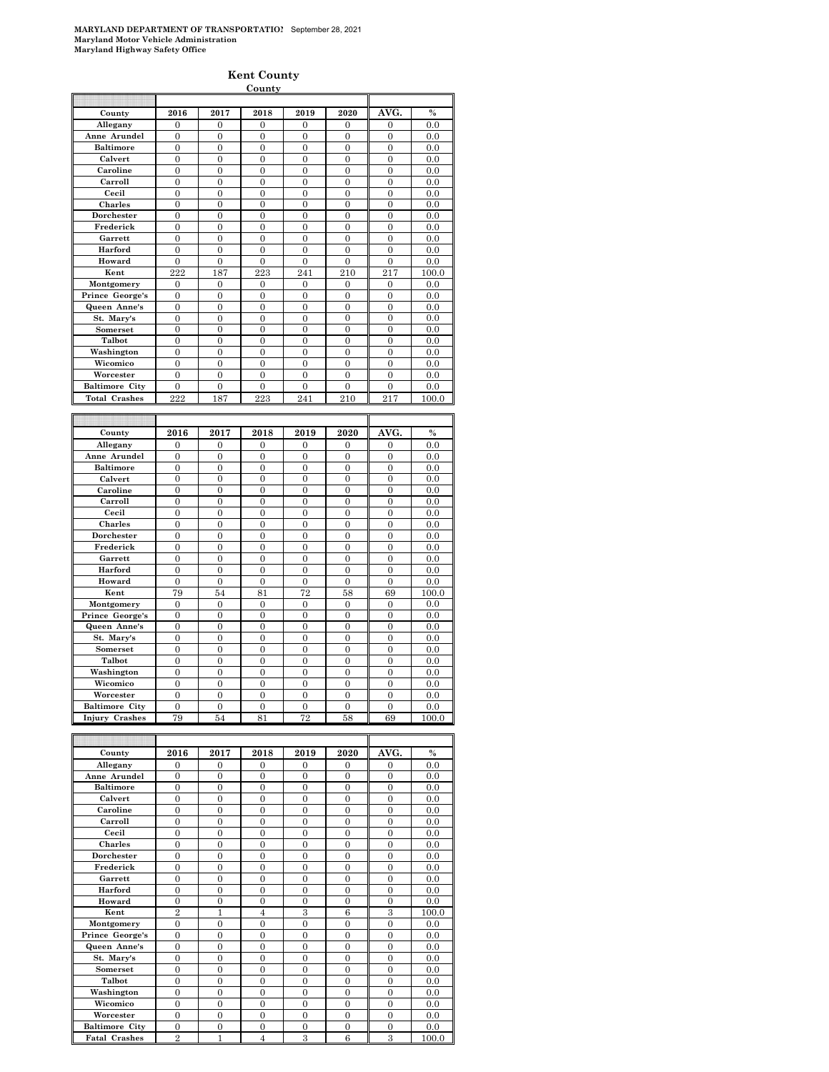#### **Kent County**

|                                         |                      |                  | County               |                      |                      |                      |              |
|-----------------------------------------|----------------------|------------------|----------------------|----------------------|----------------------|----------------------|--------------|
|                                         |                      |                  |                      |                      |                      |                      |              |
| County                                  | 2016                 | 2017             | 2018                 | 2019                 | 2020                 | AVG.                 | $\%$         |
| Allegany                                | $\Omega$             | $\Omega$         | $\theta$             | $\Omega$             | $\Omega$             | 0                    | 0.0          |
| Anne Arundel                            | $\overline{0}$       | $\overline{0}$   | $\overline{0}$       | $\mathbf{0}$         | $\overline{0}$       | $\mathbf{0}$         | 0.0          |
| <b>Baltimore</b>                        | $\mathbf{0}$         | $\overline{0}$   | $\overline{0}$       | $\overline{0}$       | $\overline{0}$       | $\overline{0}$       | 0.0          |
| Calvert                                 | $\overline{0}$       | $\overline{0}$   | $\overline{0}$       | $\overline{0}$       | $\overline{0}$       | $\overline{0}$       | 0.0          |
| Caroline                                | $\theta$             | $\theta$         | $\theta$             | $\theta$             | $\Omega$             | $\theta$             | 0.0          |
| Carroll                                 | $\mathbf{0}$         | $\mathbf{0}$     | $\overline{0}$       | $\mathbf{0}$         | $\mathbf{0}$         | $\mathbf{0}$         | 0.0          |
| Cecil                                   | $\overline{0}$       | $\overline{0}$   | $\overline{0}$       | $\mathbf{0}$         | $\overline{0}$       | $\overline{0}$       | 0.0          |
| Charles                                 | $\theta$             | $\theta$         | $\theta$             | $\theta$             | $\theta$             | $\theta$             | 0.0          |
| Dorchester                              | $\boldsymbol{0}$     | $\mathbf{0}$     | $\mathbf{0}$         | $\mathbf{0}$         | $\mathbf{0}$         | $\boldsymbol{0}$     | 0.0          |
| Frederick                               | $\mathbf{0}$         | $\mathbf{0}$     | 0                    | $\mathbf{0}$         | $\mathbf{0}$         | $\boldsymbol{0}$     | 0.0          |
| Garrett                                 | $\overline{0}$       | $\overline{0}$   | $\overline{0}$       | $\overline{0}$       | $\overline{0}$       | $\overline{0}$       | 0.0          |
| Harford                                 | $\overline{0}$       | $\Omega$         | $\overline{0}$       | $\theta$             | $\mathbf{0}$         | $\overline{0}$       | 0.0          |
| Howard                                  | $\mathbf{0}$         | $\mathbf{0}$     | $\boldsymbol{0}$     | $\boldsymbol{0}$     | $\mathbf{0}$         | $\mathbf{0}$         | 0.0          |
| Kent                                    | 222                  | 187              | 223                  | 241                  | 210                  | 217                  | 100.0        |
| Montgomery                              | 0                    | $\overline{0}$   | 0                    | 0                    | $\mathbf{0}$         | $\mathbf{0}$         | $_{0.0}$     |
| Prince George's                         | $\boldsymbol{0}$     | $\Omega$         | $\theta$             | $\boldsymbol{0}$     | $\boldsymbol{0}$     | $\Omega$             | 0.0          |
| Queen Anne's                            | $\boldsymbol{0}$     | $\boldsymbol{0}$ | $\mathbf{0}$         | $\mathbf{0}$         | $\mathbf{0}$         | $\boldsymbol{0}$     | 0.0          |
| St. Mary's                              | $\overline{0}$       | $\overline{0}$   | $\overline{0}$       | $\overline{0}$       | $\overline{0}$       | $\overline{0}$       | 0.0          |
| Somerset                                | $\overline{0}$       | $\theta$         | $\overline{0}$       | $\overline{0}$       | $\theta$             | $\overline{0}$       | 0.0          |
| Talbot                                  | $\boldsymbol{0}$     | $\mathbf{0}$     | $\theta$             | $\mathbf{0}$         | $\mathbf{0}$         | $\boldsymbol{0}$     | $_{0.0}$     |
| Washington                              | $\overline{0}$       | $\overline{0}$   | $\mathbf{0}$         | $\overline{0}$       | $\mathbf{0}$         | $\boldsymbol{0}$     | 0.0          |
| Wicomico                                | $\overline{0}$       | $\overline{0}$   | $\overline{0}$       | $\overline{0}$       | $\overline{0}$       | $\overline{0}$       | 0.0          |
| Worcester                               | $\overline{0}$       | $\overline{0}$   | $\theta$             | $\overline{0}$       | $\theta$             | $\theta$             | 0.0          |
| <b>Baltimore City</b>                   | $\boldsymbol{0}$     | $\mathbf{0}$     | $\mathbf{0}$         | 0                    | $\mathbf{0}$         | $\boldsymbol{0}$     | 0.0          |
| <b>Total Crashes</b>                    | 222                  | 187              | 223                  | 241                  | 210                  | 217                  | 100.0        |
|                                         |                      |                  |                      |                      |                      |                      |              |
|                                         |                      |                  |                      |                      |                      |                      |              |
|                                         |                      |                  |                      |                      |                      |                      |              |
| County                                  | 2016                 | 2017             | 2018                 | 2019                 | 2020                 | AVG.                 | $\%$         |
| Allegany                                | $\overline{0}$       | $\overline{0}$   | $\overline{0}$       | $\overline{0}$       | $\overline{0}$       | $\overline{0}$       | 0.0          |
| Anne Arundel                            | $\theta$             | $\Omega$         | $\theta$             | $\theta$             | $\Omega$             | $\theta$             | 0.0          |
| <b>Baltimore</b>                        | $\boldsymbol{0}$     | $\overline{0}$   | $\overline{0}$       | $\overline{0}$       | $\overline{0}$       | $\overline{0}$       | 0.0          |
| Calvert                                 | $\boldsymbol{0}$     | $\boldsymbol{0}$ | $\mathbf{0}$         | $\boldsymbol{0}$     | $\boldsymbol{0}$     | $\mathbf{0}$         | 0.0          |
| Caroline                                | $\overline{0}$       | $\overline{0}$   | $\overline{0}$       | $\overline{0}$       | $\overline{0}$       | $\overline{0}$       | 0.0          |
| Carroll                                 | $\overline{0}$       | $\theta$         | $\theta$             | $\theta$             | $\theta$             | $\theta$             | 0.0          |
| Cecil                                   | $\mathbf{0}$         | $\mathbf{0}$     | $\overline{0}$       | $\mathbf{0}$         | $\mathbf{0}$         | $\mathbf{0}$         | 0.0          |
| Charles                                 | $\overline{0}$       | $\overline{0}$   | $\mathbf{0}$         | $\mathbf{0}$         | $\overline{0}$       | $\boldsymbol{0}$     | 0.0          |
| Dorchester                              | $\overline{0}$       | $\overline{0}$   | $\overline{0}$       | $\overline{0}$       | $\overline{0}$       | $\overline{0}$       | $_{0.0}$     |
| Frederick                               | $\boldsymbol{0}$     | $\mathbf{0}$     | $\overline{0}$       | $\mathbf{0}$         | $\mathbf{0}$         | $\overline{0}$       | 0.0          |
| Garrett                                 | $\boldsymbol{0}$     | $\mathbf{0}$     | $\mathbf{0}$         | $\mathbf{0}$         | $\mathbf{0}$         | $\boldsymbol{0}$     | 0.0          |
| Harford                                 | $\overline{0}$       | $\overline{0}$   | $\overline{0}$       | $\overline{0}$       | $\overline{0}$       | $\overline{0}$       | 0.0          |
| Howard                                  | $\theta$             | $\theta$         | $\theta$             | $\Omega$             | $\Omega$             | $\Omega$             | 0.0          |
| Kent                                    | 79                   | 54               | 81                   | 72                   | 58                   | 69                   | 100.0        |
| Montgomery                              | $\mathbf{0}$         | $\boldsymbol{0}$ | $\overline{0}$       | $\boldsymbol{0}$     | $\boldsymbol{0}$     | $\overline{0}$       | 0.0          |
| Prince George's                         | $\overline{0}$       | $\overline{0}$   | $\overline{0}$       | $\overline{0}$       | $\overline{0}$       | $\overline{0}$       | 0.0          |
| Queen Anne's                            | $\overline{0}$       | $\theta$         | $\theta$             | $\overline{0}$       | $\overline{0}$       | $\theta$             | 0.0          |
| St. Mary's                              | $\mathbf{0}$         | $\mathbf{0}$     | $\overline{0}$       | $\mathbf{0}$         | $\mathbf{0}$         | $\mathbf{0}$         | 0.0          |
| Somerset                                | $\overline{0}$       | $\overline{0}$   | $\mathbf{0}$         | $\mathbf{0}$         | $\mathbf{0}$         | $\overline{0}$       | 0.0          |
| Talbot                                  | $\theta$             | $\theta$         | $\overline{0}$       | $\theta$             | $\theta$             | $\overline{0}$       | 0.0          |
| Washington                              | $\boldsymbol{0}$     | $\mathbf{0}$     | $\mathbf{0}$         | $\mathbf{0}$         | $\mathbf{0}$         | $\boldsymbol{0}$     | $_{0.0}$     |
| Wicomico                                | $\mathbf{0}$         | $\overline{0}$   | $\overline{0}$       | $\mathbf{0}$         | $\overline{0}$       | $\overline{0}$       | 0.0          |
| Worcester                               | $\overline{0}$       | $\overline{0}$   | $\overline{0}$       | $\overline{0}$       | $\overline{0}$       | $\overline{0}$       | 0.0          |
| <b>Baltimore City</b><br>Injury Crashes | $\overline{0}$<br>79 | $\theta$<br>54   | $\overline{0}$<br>81 | $\overline{0}$<br>72 | $\overline{0}$<br>58 | $\overline{0}$<br>69 | 0.0<br>100.0 |

| County                | 2016           | 2017         | 2018           | 2019           | 2020           | AVG.           | $\%$  |
|-----------------------|----------------|--------------|----------------|----------------|----------------|----------------|-------|
| Allegany              | $\overline{0}$ | $\Omega$     | $\Omega$       | $\overline{0}$ | $\overline{0}$ | $\mathbf{0}$   | 0.0   |
| Anne Arundel          | $\theta$       | $\theta$     | $\theta$       | $\theta$       | $\theta$       | $\theta$       | 0.0   |
| <b>Baltimore</b>      | $\overline{0}$ | $\theta$     | $\theta$       | $\theta$       | $\overline{0}$ | $\overline{0}$ | 0.0   |
| Calvert               | $\overline{0}$ | $\Omega$     | $\Omega$       | $\Omega$       | $\overline{0}$ | $\mathbf{0}$   | 0.0   |
| Caroline              | $\theta$       | $\theta$     | $\theta$       | $\theta$       | $\theta$       | $\theta$       | 0.0   |
| Carroll               | $\overline{0}$ | $\theta$     | $\Omega$       | $\Omega$       | $\theta$       | $\overline{0}$ | 0.0   |
| Cecil                 | $\overline{0}$ | $\theta$     | $\theta$       | $\theta$       | $\theta$       | $\overline{0}$ | 0.0   |
| <b>Charles</b>        | $\overline{0}$ | $\theta$     | $\theta$       | $\Omega$       | $\theta$       | $\theta$       | 0.0   |
| Dorchester            | $\theta$       | $\theta$     | $\theta$       | $\theta$       | $\theta$       | $\theta$       | 0.0   |
| Frederick             | $\overline{0}$ | $\theta$     | $\Omega$       | $\Omega$       | $\theta$       | $\theta$       | 0.0   |
| Garrett               | $\overline{0}$ | $\theta$     | $\theta$       | $\theta$       | $\theta$       | $\theta$       | 0.0   |
| Harford               | $\overline{0}$ | $\theta$     | $\theta$       | $\Omega$       | $\theta$       | $\overline{0}$ | 0.0   |
| Howard                | $\theta$       | $\theta$     | $\theta$       | $\theta$       | $\theta$       | $\theta$       | 0.0   |
| Kent                  | $\overline{2}$ | $\mathbf{1}$ | $\overline{4}$ | 3              | 6              | 3              | 100.0 |
| Montgomery            | $\theta$       | $\theta$     | $\theta$       | $\theta$       | $\theta$       | $\theta$       | 0.0   |
| Prince George's       | $\theta$       | $\theta$     | $\theta$       | $\theta$       | $\theta$       | $\theta$       | 0.0   |
| Queen Anne's          | $\theta$       | $\theta$     | $\theta$       | $\theta$       | $\theta$       | $\theta$       | 0.0   |
| St. Mary's            | $\overline{0}$ | $\theta$     | $\theta$       | $\theta$       | $\theta$       | $\overline{0}$ | 0.0   |
| <b>Somerset</b>       | $\theta$       | $\Omega$     | $\Omega$       | $\Omega$       | $\theta$       | $\theta$       | 0.0   |
| Talbot                | $\overline{0}$ | $\theta$     | $\theta$       | $\Omega$       | $\theta$       | $\overline{0}$ | 0.0   |
| Washington            | $\theta$       | $\Omega$     | $\Omega$       | $\Omega$       | $\theta$       | $\theta$       | 0.0   |
| Wicomico              | $\overline{0}$ | $\Omega$     | $\Omega$       | $\Omega$       | $\Omega$       | $\Omega$       | 0.0   |
| Worcester             | $\theta$       | $\theta$     | $\theta$       | $\Omega$       | $\theta$       | $\Omega$       | 0.0   |
| <b>Baltimore City</b> | $\theta$       | $\theta$     | $\theta$       | $\Omega$       | $\theta$       | $\theta$       | 0.0   |
| <b>Fatal Crashes</b>  | $\overline{2}$ | 1            | $\overline{4}$ | 3              | 6              | 3              | 100.0 |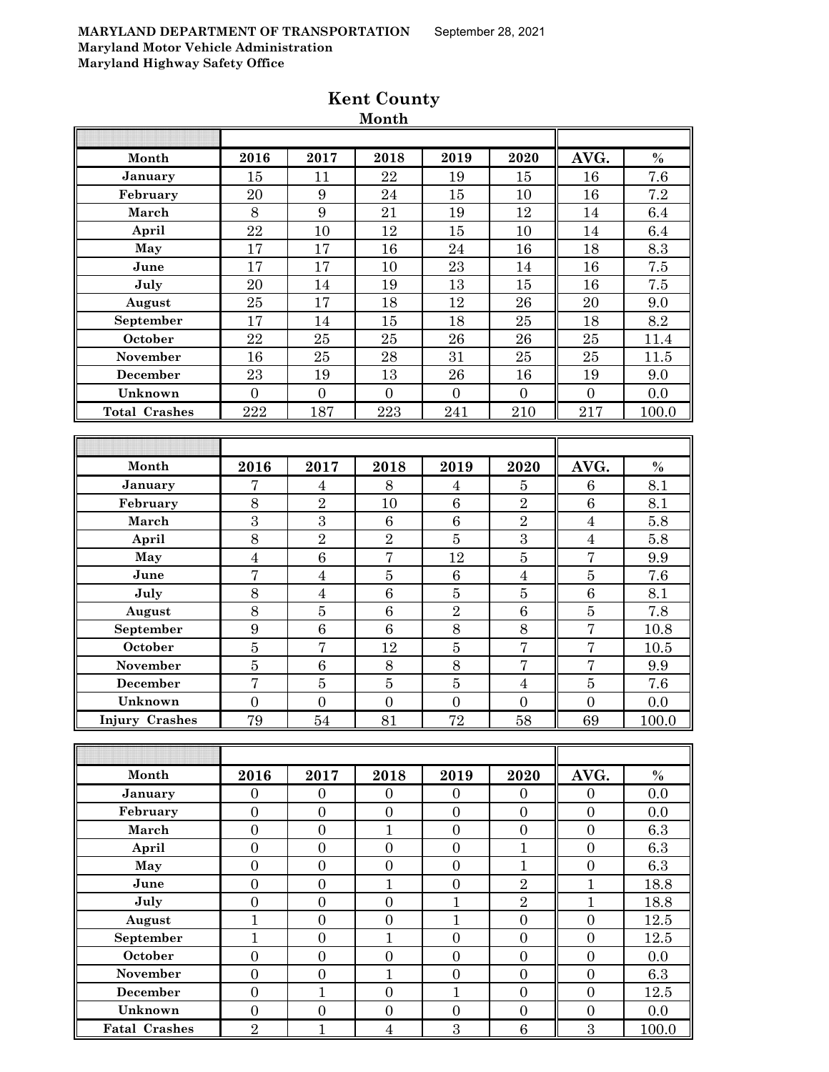| Month                 | 2016             | 2017             | 2018             | 2019             | 2020             | AVG.             | $\%$    |
|-----------------------|------------------|------------------|------------------|------------------|------------------|------------------|---------|
| January               | 15               | 11               | 22               | 19               | 15               | 16               | 7.6     |
| February              | 20               | 9                | 24               | 15               | 10               | 16               | 7.2     |
| March                 | 8                | 9                | 21               | 19               | 12               | 14               | 6.4     |
| April                 | 22               | 10               | 12               | 15               | 10               | 14               | 6.4     |
| May                   | 17               | 17               | 16               | 24               | 16               | 18               | 8.3     |
| June                  | 17               | 17               | 10               | 23               | 14               | 16               | $7.5\,$ |
| July                  | 20               | 14               | 19               | 13               | 15               | 16               | 7.5     |
| August                | 25               | 17               | 18               | 12               | 26               | 20               | 9.0     |
| September             | $\overline{17}$  | 14               | 15               | 18               | $25\,$           | 18               | 8.2     |
| October               | 22               | 25               | 25               | 26               | 26               | 25               | 11.4    |
| <b>November</b>       | 16               | 25               | 28               | 31               | 25               | 25               | 11.5    |
| December              | 23               | 19               | 13               | 26               | 16               | 19               | 9.0     |
| Unknown               | $\overline{0}$   | $\overline{0}$   | $\overline{0}$   | $\overline{0}$   | $\overline{0}$   | $\boldsymbol{0}$ | 0.0     |
| <b>Total Crashes</b>  | 222              | 187              | 223              | 241              | 210              | 217              | 100.0   |
|                       |                  |                  |                  |                  |                  |                  |         |
|                       |                  |                  |                  |                  |                  |                  |         |
| Month                 | 2016             | 2017             | 2018             | 2019             | 2020             | AVG.             | $\%$    |
| January               | 7                | 4                | 8                | $\overline{4}$   | $\overline{5}$   | $6\phantom{1}6$  | 8.1     |
| February              | 8                | $\overline{2}$   | 10               | $\,6$            | $\overline{2}$   | 6                | 8.1     |
| March                 | 3                | 3                | 6                | $\,6$            | $\overline{2}$   | $\overline{4}$   | 5.8     |
| April                 | 8                | $\overline{2}$   | $\overline{2}$   | $\bf 5$          | 3                | $\overline{4}$   | 5.8     |
| May                   | $\boldsymbol{4}$ | 6                | $\overline{7}$   | 12               | $\bf 5$          | $\overline{7}$   | 9.9     |
| June                  | $\overline{7}$   | $\overline{4}$   | $\overline{5}$   | $\boldsymbol{6}$ | $\overline{4}$   | $\bf 5$          | 7.6     |
| July                  | 8                | $\overline{4}$   | 6                | $\bf 5$          | $\bf 5$          | 6                | 8.1     |
| August                | 8                | $\bf 5$          | 6                | $\overline{2}$   | $\,6\,$          | $\bf 5$          | 7.8     |
| September             | 9                | $\overline{6}$   | $\overline{6}$   | $\overline{8}$   | $8\,$            | $\overline{7}$   | 10.8    |
| October               | $\overline{5}$   | $\overline{7}$   | 12               | $\overline{5}$   | $\overline{7}$   | $\overline{7}$   | 10.5    |
| <b>November</b>       | $\overline{5}$   | 6                | 8                | 8                | $\overline{7}$   | $\overline{7}$   | 9.9     |
| December              | $\overline{7}$   | $\overline{5}$   | $\overline{5}$   | $\overline{5}$   | $\overline{4}$   | $\overline{5}$   | 7.6     |
| Unknown               | $\overline{0}$   | $\overline{0}$   | $\overline{0}$   | $\overline{0}$   | $\overline{0}$   | $\overline{0}$   | 0.0     |
| <b>Injury Crashes</b> | 79               | 54               | 81               | 72               | 58               | 69               | 100.0   |
|                       |                  |                  |                  |                  |                  |                  |         |
|                       |                  |                  |                  |                  |                  |                  |         |
| Month                 | 2016             | 2017             | 2018             | 2019             | 2020             | AVG.             | $\%$    |
| January               | $\theta$         | $\overline{0}$   | $\boldsymbol{0}$ | $\mathbf{0}$     | $\overline{0}$   | $\mathbf{0}$     | 0.0     |
| February              | $\overline{0}$   | $\boldsymbol{0}$ | $\overline{0}$   | $\boldsymbol{0}$ | $\boldsymbol{0}$ | $\overline{0}$   | 0.0     |
| March                 | $\overline{0}$   | $\boldsymbol{0}$ | $\mathbf{1}$     | $\overline{0}$   | $\boldsymbol{0}$ | $\overline{0}$   | 6.3     |
| April                 | $\overline{0}$   | $\boldsymbol{0}$ | $\boldsymbol{0}$ | $\boldsymbol{0}$ | $\mathbf{1}$     | $\boldsymbol{0}$ | 6.3     |
| May                   | $\boldsymbol{0}$ | $\boldsymbol{0}$ | $\boldsymbol{0}$ | $\boldsymbol{0}$ | $\mathbf{1}$     | $\boldsymbol{0}$ | 6.3     |
| June                  | $\boldsymbol{0}$ | $\boldsymbol{0}$ | $\mathbf{1}$     | $\boldsymbol{0}$ | $\sqrt{2}$       | $\mathbf{1}$     | 18.8    |
| July                  | $\overline{0}$   | $\overline{0}$   | $\overline{0}$   | $\mathbf{1}$     | $\overline{2}$   | $\mathbf{1}$     | 18.8    |
| August                | $\mathbf{1}$     | $\overline{0}$   | $\boldsymbol{0}$ | $\mathbf{1}$     | $\overline{0}$   | $\overline{0}$   | 12.5    |
| September             | $\mathbf{1}$     | $\overline{0}$   | $\overline{1}$   | $\overline{0}$   | $\overline{0}$   | $\boldsymbol{0}$ | 12.5    |
| October               | $\boldsymbol{0}$ | $\boldsymbol{0}$ | $\boldsymbol{0}$ | $\boldsymbol{0}$ | $\boldsymbol{0}$ | $\boldsymbol{0}$ | 0.0     |
| November              | $\overline{0}$   | $\boldsymbol{0}$ | $\mathbf{1}$     | $\boldsymbol{0}$ | $\overline{0}$   | $\overline{0}$   | 6.3     |
| December              | $\boldsymbol{0}$ | $\mathbf{1}$     | $\boldsymbol{0}$ | $\mathbf{1}$     | $\overline{0}$   | $\overline{0}$   | 12.5    |
| Unknown               | $\boldsymbol{0}$ | $\boldsymbol{0}$ | $\boldsymbol{0}$ | $\boldsymbol{0}$ | $\boldsymbol{0}$ | $\boldsymbol{0}$ | 0.0     |
| <b>Fatal Crashes</b>  | $\overline{2}$   | $\mathbf{1}$     | $\overline{4}$   | $\sqrt{3}$       | $\,6\,$          | $\overline{3}$   | 100.0   |

# **Kent County Month**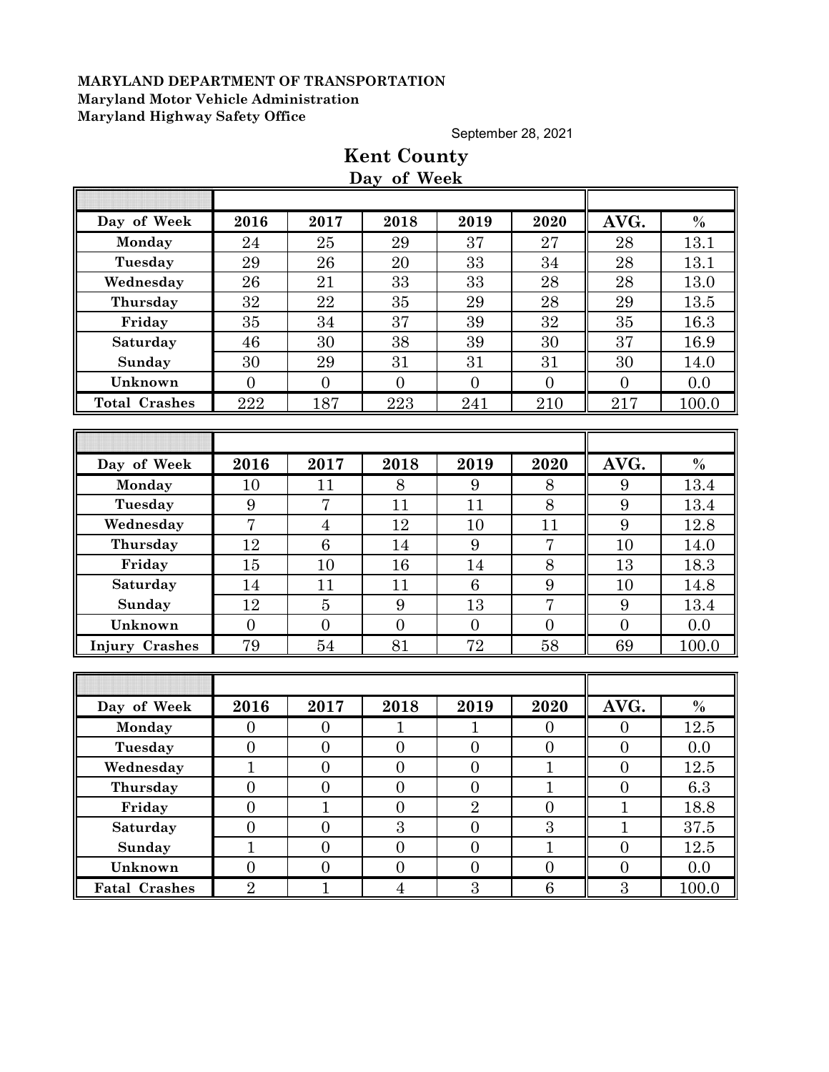September 28, 2021

|                       |                  |                  | Day of Week      |                  |                  |                  |               |
|-----------------------|------------------|------------------|------------------|------------------|------------------|------------------|---------------|
|                       |                  |                  |                  |                  |                  |                  |               |
| Day of Week           | 2016             | 2017             | 2018             | 2019             | 2020             | AVG.             | $\%$          |
| Monday                | 24               | 25               | 29               | 37               | 27               | 28               | 13.1          |
| Tuesday               | 29               | 26               | 20               | 33               | 34               | 28               | 13.1          |
| Wednesday             | 26               | 21               | 33               | 33               | 28               | 28               | 13.0          |
| Thursday              | 32               | 22               | 35               | 29               | 28               | 29               | 13.5          |
| Friday                | 35               | 34               | 37               | 39               | 32               | 35               | 16.3          |
| Saturday              | 46               | 30               | 38               | 39               | 30               | 37               | 16.9          |
| Sunday                | 30               | 29               | 31               | 31               | 31               | 30               | 14.0          |
| Unknown               | $\overline{0}$   | $\overline{0}$   | $\overline{0}$   | $\overline{0}$   | $\mathbf{0}$     | $\overline{0}$   | 0.0           |
| <b>Total Crashes</b>  | 222              | 187              | 223              | 241              | 210              | $217\,$          | 100.0         |
|                       |                  |                  |                  |                  |                  |                  |               |
|                       |                  |                  |                  |                  |                  |                  |               |
| Day of Week           | 2016             | 2017             | 2018             | 2019             | 2020             | AVG.             | $\frac{0}{0}$ |
| Monday                | 10               | 11               | 8                | 9                | 8                | 9                | 13.4          |
| Tuesday               | 9                | $\overline{7}$   | 11               | 11               | 8                | 9                | 13.4          |
| Wednesday             | $\overline{7}$   | $\overline{4}$   | 12               | 10               | 11               | 9                | 12.8          |
| Thursday              | 12               | 6                | 14               | 9                | $\overline{7}$   | 10               | 14.0          |
| Friday                | 15               | 10               | 16               | 14               | $8\,$            | 13               | 18.3          |
| Saturday              | 14               | 11               | 11               | 6                | 9                | 10               | 14.8          |
| Sunday                | 12               | $\overline{5}$   | 9                | 13               | $\overline{7}$   | 9                | 13.4          |
| Unknown               | $\overline{0}$   | $\overline{0}$   | $\overline{0}$   | $\overline{0}$   | $\overline{0}$   | $\overline{0}$   | 0.0           |
| <b>Injury Crashes</b> | 79               | 54               | 81               | 72               | 58               | 69               | 100.0         |
|                       |                  |                  |                  |                  |                  |                  |               |
|                       |                  |                  |                  |                  |                  |                  |               |
| Day of Week           | 2016             | 2017             | 2018             | 2019             | 2020             | AVG.             | $\frac{0}{0}$ |
| Monday                | $\overline{0}$   | $\boldsymbol{0}$ | 1                | 1                | $\boldsymbol{0}$ | $\theta$         | 12.5          |
| Tuesday               | $\boldsymbol{0}$ | $\boldsymbol{0}$ | $\boldsymbol{0}$ | $\boldsymbol{0}$ | $\boldsymbol{0}$ | $\theta$         | 0.0           |
| Wednesday             | $\mathbf{1}$     | $\boldsymbol{0}$ | $\boldsymbol{0}$ | $\boldsymbol{0}$ | $\mathbf{1}$     | $\boldsymbol{0}$ | 12.5          |
| Thursday              | $\overline{0}$   | $\theta$         | $\boldsymbol{0}$ | $\boldsymbol{0}$ | T                | $\theta$         | 6.3           |
| Friday                | $\overline{0}$   | $\overline{1}$   | $\overline{0}$   | $\overline{2}$   | $\overline{0}$   | $\overline{1}$   | 18.8          |
| Saturday              | $\overline{0}$   | $\overline{0}$   | 3                | $\overline{0}$   | $\overline{3}$   | $\mathbf{1}$     | 37.5          |
| Sunday                | $\mathbf{1}$     | $\overline{0}$   | $\overline{0}$   | $\overline{0}$   | $\mathbf{1}$     | $\boldsymbol{0}$ | 12.5          |
| Unknown               | $\overline{0}$   | $\boldsymbol{0}$ | $\boldsymbol{0}$ | $\boldsymbol{0}$ | $\boldsymbol{0}$ | $\boldsymbol{0}$ | 0.0           |
| <b>Fatal Crashes</b>  | $\overline{2}$   | $\mathbf{1}$     | $\overline{4}$   | $\overline{3}$   | 6                | $\overline{3}$   | 100.0         |

# **Kent County Day of Week**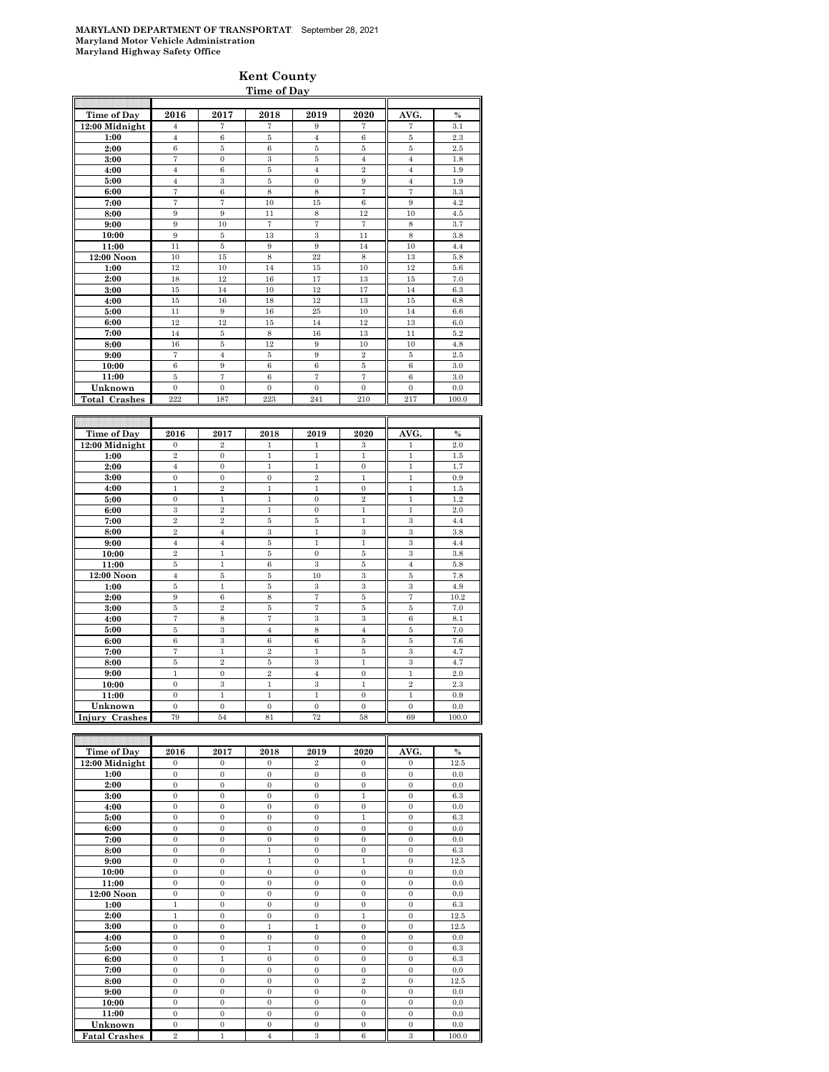### **Kent County Time of Day**

| Time of Day          | 2016                             | 2017                             | 2018                           | 2019                           | 2020                           | AVG.                         | $\frac{0}{6}$ |
|----------------------|----------------------------------|----------------------------------|--------------------------------|--------------------------------|--------------------------------|------------------------------|---------------|
| $12:00$ Midnight     | 4                                | 7                                | 7                              | 9                              | 7                              | 7                            | 3.1           |
| 1:00                 | $\overline{4}$                   | 6                                | 5                              | $\overline{4}$                 | 6                              | 5                            | 2.3           |
| 2:00                 | 6                                | 5                                | 6                              | 5                              | 5                              | 5                            | 2.5           |
| 3:00                 | $\overline{7}$                   | $\overline{0}$                   | $\overline{\mathbf{3}}$        | $\overline{5}$                 | $\overline{4}$                 | $\overline{4}$               | 1.8           |
| 4:00                 | $\overline{4}$                   | 6                                | 5                              | $\overline{4}$                 | $\overline{2}$                 | $\overline{4}$               | 1.9           |
| 5:00                 | $\overline{4}$                   | 3                                | 5                              | $\overline{0}$                 | 9                              | $\overline{4}$               | 1.9           |
| 6:00                 | $\scriptstyle{7}$                | 6                                | 8                              | 8                              | 7                              | 7                            | 3.3           |
| 7:00                 | $\overline{7}$                   | $\overline{7}$                   | 10                             | 15                             | 6                              | 9                            | 4.2           |
| 8:00                 | 9                                | 9                                | 11                             | 8                              | 12                             | 10                           | 4.5           |
| 9:00                 | 9                                | 10                               | $\overline{7}$                 | $\overline{7}$                 | $\scriptstyle{7}$              | $\,$ 8 $\,$                  | 3.7           |
| 10:00                | 9                                | 5                                | 13                             | 3                              | 11                             | 8                            | 3.8           |
| 11:00                | 11                               | $\overline{5}$                   | 9                              | 9                              | 14                             | 10                           | 4.4           |
| 12:00 Noon           | 10                               | 15                               | $\overline{8}$                 | 22                             | 8                              | 13                           | 5.8           |
| 1:00                 | 12                               | 10                               | 14                             | 15                             | 10                             | 12                           | 5.6           |
| 2:00                 | 18                               | 12                               | 16                             | 17                             | 13                             | 15                           | 7.0           |
| 3:00                 | 15                               | 14                               | 10                             | 12                             | 17                             | 14                           | 6.3           |
| 4:00                 | 15                               | 16                               | 18                             | 12                             | 13                             | 15                           | 6.8           |
| 5:00                 | 11                               | 9                                | 16                             | 25                             | 10                             | 14                           | 6.6           |
| 6:00                 | 12                               | 12                               | 15                             | 14                             | 12                             | 13                           | 6.0           |
| 7:00                 | 14                               | 5                                | 8                              | 16                             | 13                             | 11                           | 5.2           |
| 8:00                 | 16                               | 5                                | 12                             | 9                              | 10                             | 10                           | 4.8           |
| 9:00                 | $\scriptstyle{7}$                | $\overline{4}$                   | 5                              | 9                              | $\,2\,$                        | 5                            | 2.5           |
| 10:00                | $\boldsymbol{6}$                 | 9                                | 6                              | $\,6$                          | 5                              | $\,$ 6 $\,$                  | 3.0           |
| 11:00                | 5                                | $\overline{7}$                   | 6                              | $\overline{7}$                 | $\overline{7}$                 | 6                            | 3.0           |
| Unknown              | $\overline{0}$                   | $\mathbf{0}$                     | $\mathbf{0}$                   | $\mathbf{0}$                   | $\mathbf{0}$                   | $\mathbf{0}$                 | 0.0           |
| <b>Total Crashes</b> | 222                              | 187                              | 223                            | 241                            | 210                            | 217                          | 100.0         |
|                      |                                  |                                  |                                |                                |                                |                              |               |
|                      |                                  |                                  |                                |                                |                                |                              |               |
| Time of Day          | 2016                             | 2017                             | 2018                           | 2019                           | 2020                           | AVG.                         | $\frac{0}{2}$ |
| 12:00 Midnight       | $\mathbf{0}$<br>$\,2\,$          | $\overline{2}$<br>$\overline{0}$ | $\mathbf{1}$<br>$\mathbf{1}$   | $\mathbf{1}$<br>$\mathbf{1}$   | 3<br>$\mathbf{1}$              | $\mathbf{1}$<br>$\mathbf{1}$ | 2.0           |
| 1:00                 |                                  | $\theta$                         |                                |                                |                                |                              | 1.5           |
| 2:00                 | $\overline{4}$<br>$\overline{0}$ |                                  | $\mathbf{1}$<br>$\overline{0}$ | $\mathbf{1}$<br>$\overline{2}$ | $\overline{0}$<br>$\mathbf{1}$ | $\mathbf{1}$<br>$\mathbf{1}$ | 1.7<br>0.9    |
| 3:00                 |                                  | $\mathbf{0}$                     |                                |                                |                                |                              |               |
| 4:00                 | $\mathbf{1}$                     | $\overline{2}$                   | $\mathbf{1}$                   | $\mathbf{1}$                   | $\overline{0}$                 | $\mathbf{1}$                 | 1.5           |
| 5:00                 | $\mathbf{0}$                     | $\mathbf{1}$                     | $\mathbf{1}$                   | $\mathbf{0}$                   | $\overline{2}$                 | $\mathbf{1}$                 | 1.2           |
| 6:00                 | 3<br>$\overline{2}$              | $\overline{2}$<br>$\,2\,$        | $\mathbf{1}$<br>$\bf 5$        | $\mathbf{0}$<br>$\overline{5}$ | $\mathbf{1}$                   | $\mathbf{1}$<br>$\,3\,$      | 2.0           |
| 7:00<br>8:00         | $\overline{2}$                   | $\overline{4}$                   | 3                              | $\mathbf{1}$                   | $\mathbf{1}$<br>3              | 3                            | 4.4<br>3.8    |
|                      |                                  |                                  | 5                              |                                |                                | 3                            |               |
| 9:00<br>10:00        | $\overline{4}$<br>$\overline{2}$ | $\overline{4}$<br>$\mathbf{1}$   | 5                              | $\mathbf{1}$<br>$\overline{0}$ | 1<br>$\overline{5}$            | $\overline{\mathbf{3}}$      | 4.4<br>3.8    |
| 11.00                | K.                               | $\mathbf{1}$                     | Ġ.                             | Q.                             | K.                             | $\overline{A}$               | 5.8           |

| 9:00           | $\overline{4}$ | $\overline{4}$              | $\bf 5$        | $\mathbf{1}$  | 1              | 3              | 4.4   |
|----------------|----------------|-----------------------------|----------------|---------------|----------------|----------------|-------|
| 10:00          | $\overline{2}$ |                             | 5              | $\Omega$      | 5              | 3              | 3.8   |
| 11:00          | 5              | 1                           | 6              | $\mathcal{S}$ | 5              | $\overline{4}$ | 5.8   |
| 12:00 Noon     | 4              | 5                           | 5              | 10            | 3              | 5              | 7.8   |
| 1:00           | 5              | 1                           | 5              | 3             | 3              | 3              | 4.9   |
| 2:00           | 9              | 6                           | 8              | 7             | 5              | 7              | 10.2  |
| 3:00           | 5              | $\overline{2}$              | 5              | 7             | 5              | 5              | 7.0   |
| 4:00           | 7              | 8                           | 7              | $\mathcal{S}$ | 3              | 6              | 8.1   |
| 5:00           | 5              | $\mathcal{S}_{\mathcal{S}}$ | $\overline{4}$ | 8             | $\overline{4}$ | 5              | 7.0   |
| 6:00           | 6              | 3                           | 6              | 6             | 5              | 5              | 7.6   |
| 7:00           | 7              | 1                           | $\overline{2}$ | 1             | 5              | 3              | 4.7   |
| 8:00           | 5              | $\mathbf{2}$                | 5              | $\mathcal{S}$ | 1              | 3              | 4.7   |
| 9:00           | 1              | $\Omega$                    | $\overline{2}$ | 4             | $\Omega$       | 1              | 2.0   |
| 10:00          | $\mathbf{0}$   | $\mathcal{S}_{\mathcal{S}}$ | 1              | 3             | 1              | $\overline{2}$ | 2.3   |
| 11:00          | $\theta$       | 1                           | 1              | 1             | $\mathbf{0}$   | 1              | 0.9   |
| Unknown        | $\Omega$       | $\Omega$                    | $\mathbf{0}$   | $\Omega$      | $\Omega$       | $\Omega$       | 0.0   |
| Injury Crashes | 79             | 54                          | 81             | 72            | 58             | 69             | 100.0 |

| Time of Day          | 2016           | 2017           | 2018           | 2019           | 2020           | AVG.           | $\frac{0}{0}$ |
|----------------------|----------------|----------------|----------------|----------------|----------------|----------------|---------------|
| 12:00 Midnight       | $\Omega$       | $\Omega$       | $\Omega$       | $\overline{2}$ | $\Omega$       | $\Omega$       | 12.5          |
| 1:00                 | $\Omega$       | $\Omega$       | $\mathbf{0}$   | $\Omega$       | $\Omega$       | $\Omega$       | 0.0           |
| 2:00                 | $\mathbf{0}$   | $\mathbf{0}$   | $\mathbf{0}$   | $\mathbf{0}$   | $\mathbf{0}$   | $\mathbf{0}$   | 0.0           |
| 3:00                 | $\Omega$       | $\Omega$       | $\Omega$       | $\Omega$       | 1              | $\Omega$       | 6.3           |
| 4:00                 | $\Omega$       | $\Omega$       | $\overline{0}$ | $\Omega$       | $\Omega$       | $\Omega$       | 0.0           |
| 5:00                 | $\Omega$       | $\Omega$       | $\mathbf{0}$   | $\Omega$       | 1              | $\Omega$       | 6.3           |
| 6:00                 | $\mathbf{0}$   | $\Omega$       | $\overline{0}$ | $\Omega$       | $\Omega$       | $\Omega$       | 0.0           |
| 7:00                 | $\mathbf{0}$   | $\overline{0}$ | $\overline{0}$ | $\Omega$       | $\overline{0}$ | $\overline{0}$ | 0.0           |
| 8:00                 | $\mathbf{0}$   | $\Omega$       | $\mathbf{1}$   | $\Omega$       | $\Omega$       | $\mathbf{0}$   | 6.3           |
| 9:00                 | $\Omega$       | $\Omega$       | $\mathbf{1}$   | $\Omega$       | 1              | $\Omega$       | 12.5          |
| 10:00                | $\Omega$       | $\Omega$       | $\mathbf{0}$   | $\Omega$       | $\Omega$       | $\Omega$       | 0.0           |
| 11:00                | $\Omega$       | $\Omega$       | $\Omega$       | $\Omega$       | $\Omega$       | $\Omega$       | 0.0           |
| $12:00$ Noon         | $\mathbf{0}$   | $\Omega$       | $\mathbf{0}$   | $\Omega$       | $\Omega$       | $\Omega$       | 0.0           |
| 1:00                 | 1              | $\Omega$       | $\overline{0}$ | $\Omega$       | $\Omega$       | $\Omega$       | 6.3           |
| 2:00                 | $\mathbf{1}$   | $\Omega$       | $\overline{0}$ | $\mathbf{0}$   | $\mathbf{1}$   | $\mathbf{0}$   | 12.5          |
| 3:00                 | $\mathbf{0}$   | $\overline{0}$ | $\mathbf{1}$   | $\mathbf{1}$   | $\mathbf{0}$   | $\mathbf{0}$   | 12.5          |
| 4:00                 | $\Omega$       | $\Omega$       | $\Omega$       | $\Omega$       | $\theta$       | $\Omega$       | 0.0           |
| 5:00                 | $\Omega$       | $\Omega$       | $\mathbf{1}$   | $\Omega$       | $\Omega$       | $\Omega$       | 6.3           |
| 6:00                 | $\mathbf{0}$   | $\mathbf{1}$   | $\overline{0}$ | $\mathbf{0}$   | $\mathbf{0}$   | $\mathbf{0}$   | 6.3           |
| 7:00                 | $\Omega$       | $\Omega$       | $\overline{0}$ | $\Omega$       | $\Omega$       | $\Omega$       | 0.0           |
| 8:00                 | $\mathbf{0}$   | $\overline{0}$ | $\overline{0}$ | $\Omega$       | $\overline{2}$ | $\mathbf{0}$   | 12.5          |
| 9:00                 | $\mathbf{0}$   | $\Omega$       | $\mathbf{0}$   | $\mathbf{0}$   | $\Omega$       | $\mathbf{0}$   | 0.0           |
| 10:00                | $\Omega$       | $\Omega$       | $\Omega$       | $\Omega$       | $\Omega$       | $\Omega$       | 0.0           |
| 11:00                | $\Omega$       | $\Omega$       | $\Omega$       | $\Omega$       | $\Omega$       | $\Omega$       | 0.0           |
| Unknown              | $\Omega$       | $\Omega$       | $\Omega$       | $\Omega$       | $\Omega$       | $\Omega$       | 0.0           |
| <b>Fatal Crashes</b> | $\overline{2}$ | 1              | $\overline{4}$ | 3              | 6              | 3              | 100.0         |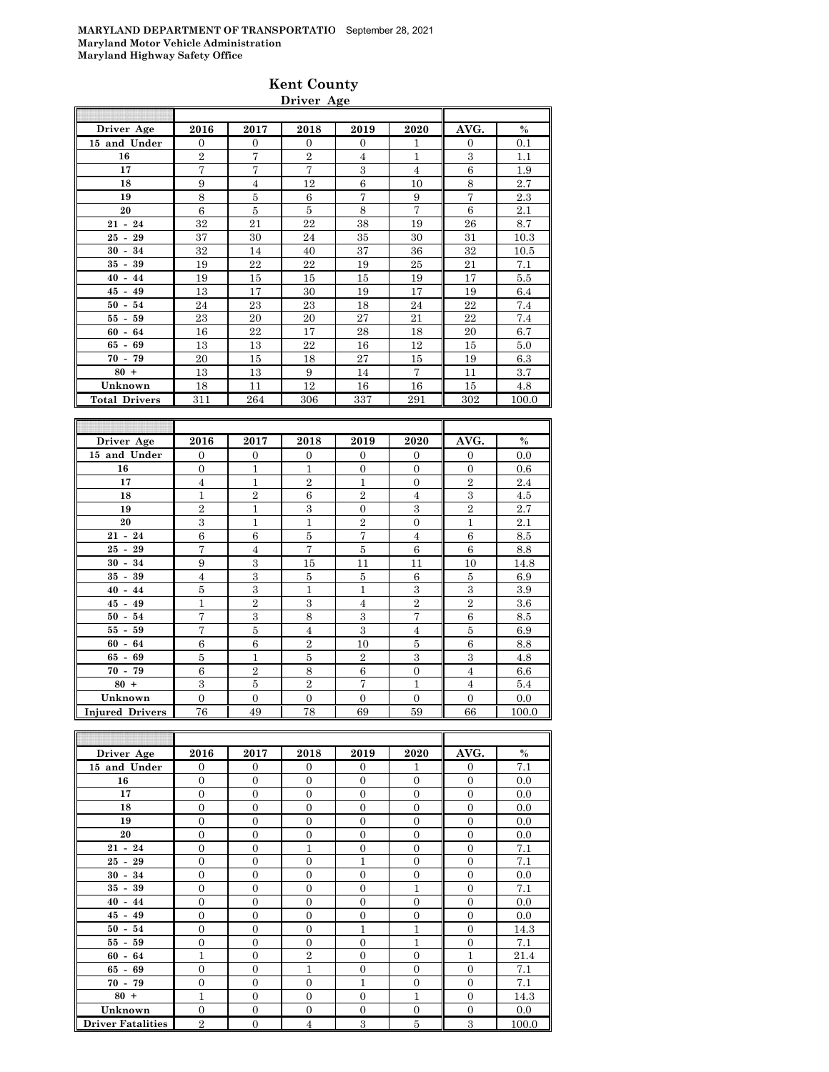### **Kent County Driver Age**

| Driver Age           | 2016           | 2017 | 2018           | 2019           | 2020           | AVG.           | $\%$  |
|----------------------|----------------|------|----------------|----------------|----------------|----------------|-------|
| 15 and Under         | $\Omega$       | 0    | $\Omega$       | $\mathbf{0}$   | 1              | $\overline{0}$ | 0.1   |
| 16                   | $\overline{2}$ | 7    | $\overline{2}$ | $\overline{4}$ | $\mathbf{1}$   | 3              | 1.1   |
| 17                   | 7              | 7    | 7              | 3              | $\overline{4}$ | 6              | 1.9   |
| 18                   | 9              | 4    | 12             | 6              | 10             | 8              | 2.7   |
| 19                   | 8              | 5    | 6              | 7              | 9              | $\overline{7}$ | 2.3   |
| 20                   | 6              | 5    | 5              | 8              | 7              | 6              | 2.1   |
| $21 - 24$            | 32             | 21   | 22             | 38             | 19             | 26             | 8.7   |
| $25 - 29$            | 37             | 30   | 24             | 35             | 30             | 31             | 10.3  |
| $30 - 34$            | 32             | 14   | 40             | 37             | 36             | 32             | 10.5  |
| $35 - 39$            | 19             | 22   | 22             | 19             | 25             | 21             | 7.1   |
| $40 - 44$            | 19             | 15   | 15             | 15             | 19             | 17             | 5.5   |
| $45 - 49$            | 13             | 17   | 30             | 19             | 17             | 19             | 6.4   |
| $50 - 54$            | 24             | 23   | 23             | 18             | 24             | 22             | 7.4   |
| $55 - 59$            | 23             | 20   | 20             | 27             | 21             | 22             | 7.4   |
| $60 - 64$            | 16             | 22   | 17             | 28             | 18             | 20             | 6.7   |
| $65 - 69$            | 13             | 13   | 22             | 16             | 12             | 15             | 5.0   |
| $70 - 79$            | 20             | 15   | 18             | 27             | 15             | 19             | 6.3   |
| $80 +$               | 13             | 13   | 9              | 14             | $\overline{7}$ | 11             | 3.7   |
| Unknown              | 18             | 11   | 12             | 16             | 16             | 15             | 4.8   |
| <b>Total Drivers</b> | 311            | 264  | 306            | 337            | 291            | 302            | 100.0 |
| <b>Tas</b>           |                |      |                |                |                |                |       |

| Driver Age             | 2016                    | 2017           | 2018           | 2019           | 2020           | AVG.           | $\%$  |
|------------------------|-------------------------|----------------|----------------|----------------|----------------|----------------|-------|
| 15 and Under           | $\Omega$                | $\overline{0}$ | $\Omega$       | $\Omega$       | $\Omega$       | $\Omega$       | 0.0   |
| 16                     | $\overline{0}$          | $\mathbf{1}$   | 1              | $\Omega$       | $\mathbf{0}$   | $\Omega$       | 0.6   |
| 17                     | $\overline{4}$          | $\mathbf{1}$   | $\overline{2}$ | 1              | $\theta$       | $\overline{2}$ | 2.4   |
| 18                     | 1                       | $\overline{2}$ | 6              | $\overline{2}$ | $\overline{4}$ | 3              | 4.5   |
| 19                     | $\overline{2}$          | $\overline{1}$ | 3              | $\Omega$       | 3              | $\overline{2}$ | 2.7   |
| 20                     | 3                       | $\overline{1}$ | 1              | $\overline{2}$ | $\theta$       | $\mathbf{1}$   | 2.1   |
| $21 - 24$              | 6                       | 6              | 5              | 7              | 4              | 6              | 8.5   |
| $25 - 29$              | 7                       | $\overline{4}$ | $\overline{7}$ | 5              | 6              | 6              | 8.8   |
| $30 - 34$              | 9                       | 3              | 15             | 11             | 11             | 10             | 14.8  |
| $35 - 39$              | $\overline{4}$          | 3              | 5              | 5              | 6              | $\overline{5}$ | 6.9   |
| $40 - 44$              | 5                       | 3              | 1              | 1              | 3              | 3              | 3.9   |
| $45 - 49$              | 1                       | $\overline{2}$ | 3              | $\overline{4}$ | $\overline{2}$ | $\overline{2}$ | 3.6   |
| $50 - 54$              | $\overline{7}$          | 3              | 8              | 3              | 7              | 6              | 8.5   |
| $55 - 59$              | 7                       | 5              | 4              | 3              | $\overline{4}$ | 5              | 6.9   |
| $60 - 64$              | 6                       | 6              | $\overline{2}$ | 10             | 5              | 6              | 8.8   |
| $65 - 69$              | 5                       | $\mathbf{1}$   | 5              | $\overline{2}$ | 3              | 3              | 4.8   |
| $70 - 79$              | 6                       | $\overline{2}$ | 8              | 6              | $\theta$       | $\overline{4}$ | 6.6   |
| $80 +$                 | $\overline{\mathbf{3}}$ | 5              | $\overline{2}$ | $\overline{7}$ | 1              | $\overline{4}$ | 5.4   |
| Unknown                | $\Omega$                | $\Omega$       | $\Omega$       | $\Omega$       | $\Omega$       | $\Omega$       | 0.0   |
| <b>Injured Drivers</b> | 76                      | 49             | 78             | 69             | 59             | 66             | 100.0 |

| Driver Age               | 2016           | 2017           | 2018           | 2019         | 2020           | AVG.           | $\%$  |
|--------------------------|----------------|----------------|----------------|--------------|----------------|----------------|-------|
| 15 and Under             | $\mathbf{0}$   | $\theta$       | $\Omega$       | $\Omega$     | 1              | $\overline{0}$ | 7.1   |
| 16                       | $\Omega$       | $\overline{0}$ | $\Omega$       | $\Omega$     | $\Omega$       | $\overline{0}$ | 0.0   |
| 17                       | $\overline{0}$ | $\theta$       | $\overline{0}$ | $\Omega$     | $\overline{0}$ | $\overline{0}$ | 0.0   |
| 18                       | $\Omega$       | $\overline{0}$ | $\Omega$       | $\Omega$     | $\Omega$       | $\overline{0}$ | 0.0   |
| 19                       | $\Omega$       | $\overline{0}$ | $\Omega$       | $\theta$     | $\theta$       | $\theta$       | 0.0   |
| 20                       | $\Omega$       | $\overline{0}$ | $\Omega$       | $\Omega$     | $\Omega$       | $\overline{0}$ | 0.0   |
| $21 - 24$                | $\overline{0}$ | $\overline{0}$ | $\mathbf{1}$   | $\Omega$     | $\Omega$       | $\overline{0}$ | 7.1   |
| $25 - 29$                | $\overline{0}$ | $\overline{0}$ | $\Omega$       | 1            | $\overline{0}$ | $\overline{0}$ | 7.1   |
| $30 - 34$                | $\overline{0}$ | $\overline{0}$ | $\overline{0}$ | $\theta$     | $\overline{0}$ | $\overline{0}$ | 0.0   |
| $35 - 39$                | $\overline{0}$ | $\overline{0}$ | $\Omega$       | $\theta$     | $\mathbf{1}$   | $\overline{0}$ | 7.1   |
| $40 - 44$                | $\Omega$       | $\overline{0}$ | $\Omega$       | $\Omega$     | $\Omega$       | $\overline{0}$ | 0.0   |
| $45 - 49$                | $\overline{0}$ | $\overline{0}$ | $\Omega$       | $\Omega$     | $\overline{0}$ | $\overline{0}$ | 0.0   |
| $50 - 54$                | $\overline{0}$ | $\overline{0}$ | $\overline{0}$ | $\mathbf{1}$ | $\mathbf{1}$   | $\overline{0}$ | 14.3  |
| $55 - 59$                | $\Omega$       | $\overline{0}$ | $\Omega$       | $\theta$     | 1              | $\overline{0}$ | 7.1   |
| $60 - 64$                | 1              | $\overline{0}$ | $\overline{2}$ | $\Omega$     | $\Omega$       | 1              | 21.4  |
| $65 - 69$                | $\overline{0}$ | $\overline{0}$ | 1              | $\Omega$     | $\Omega$       | $\theta$       | 7.1   |
| $70 - 79$                | $\overline{0}$ | $\overline{0}$ | $\Omega$       | 1            | $\overline{0}$ | $\overline{0}$ | 7.1   |
| $80 +$                   | $\mathbf{1}$   | $\overline{0}$ | $\Omega$       | $\theta$     | $\mathbf{1}$   | $\overline{0}$ | 14.3  |
| Unknown                  | $\overline{0}$ | $\overline{0}$ | $\overline{0}$ | $\Omega$     | $\overline{0}$ | $\overline{0}$ | 0.0   |
| <b>Driver Fatalities</b> | $\overline{2}$ | $\overline{0}$ | 4              | 3            | 5              | 3              | 100.0 |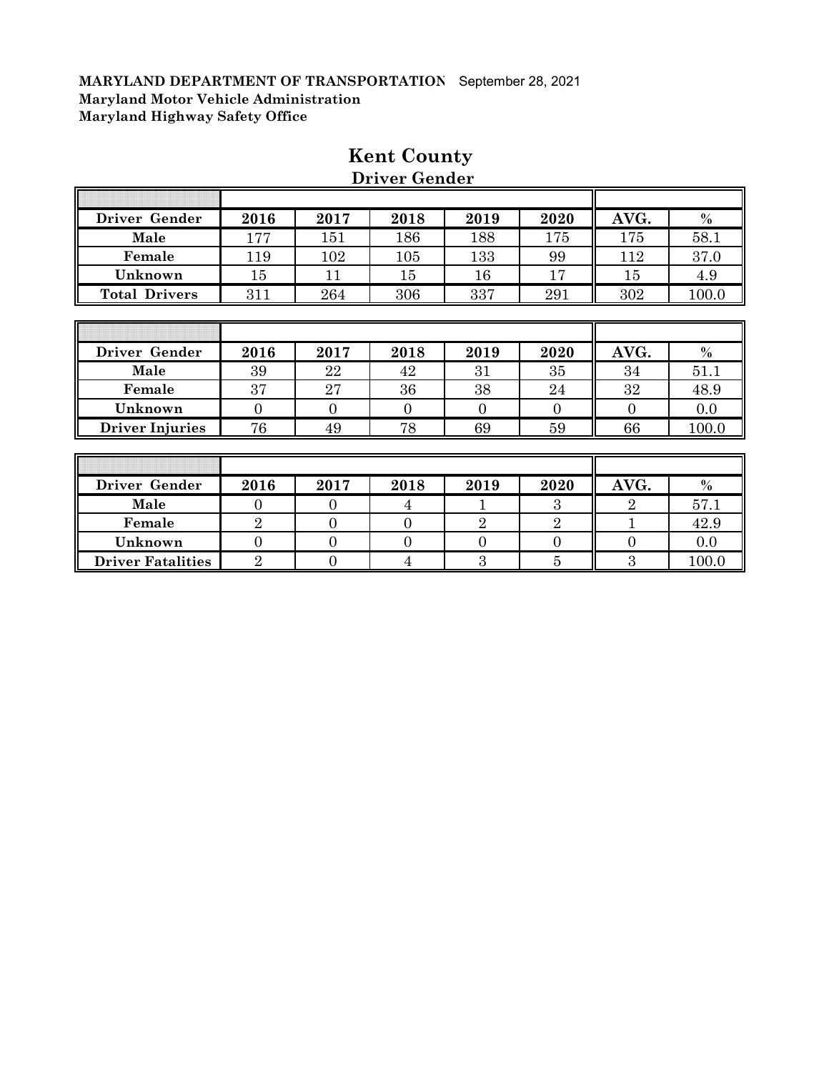| Driver Gender        | 2016   | 2017 | 2018 | 2019 | 2020    | AVG. | $\%$  |
|----------------------|--------|------|------|------|---------|------|-------|
| Male                 | 177    | 151  | 186  | 188  | $175\,$ | 175  | 58.1  |
| Female               | 119    | 102  | 105  | 133  | 99      | 112  | 37.0  |
| Unknown              | $15\,$ | 11   | 15   | 16   | 17      | 15   | 4.9   |
| <b>Total Drivers</b> | 311    | 264  | 306  | 337  | 291     | 302  | 100.0 |
|                      |        |      |      |      |         |      |       |

# **Kent County Driver Gender**

| Driver Gender          | 2016 | 2017 | 2018 | 2019 | 2020 | AVG. | $\%$  |
|------------------------|------|------|------|------|------|------|-------|
| Male                   | 39   | 22   | 42   | 31   | 35   | 34   | 51.   |
| Female                 | 37   | 27   | 36   | 38   | 24   | 32   | 48.9  |
| Unknown                |      |      |      |      |      |      | 0.0   |
| <b>Driver Injuries</b> | 76   | 49   | 78   | 69   | 59   | 66   | 100.0 |

| Driver Gender            | 2016 | 2017 | 2018 | 2019 | 2020 | AVG. | $\%$  |
|--------------------------|------|------|------|------|------|------|-------|
| Male                     |      |      |      |      |      |      | 57.1  |
| Female                   |      |      |      |      |      |      | 42.9  |
| Unknown                  |      |      |      |      |      |      | 0.0   |
| <b>Driver Fatalities</b> |      |      |      |      |      |      | 100.0 |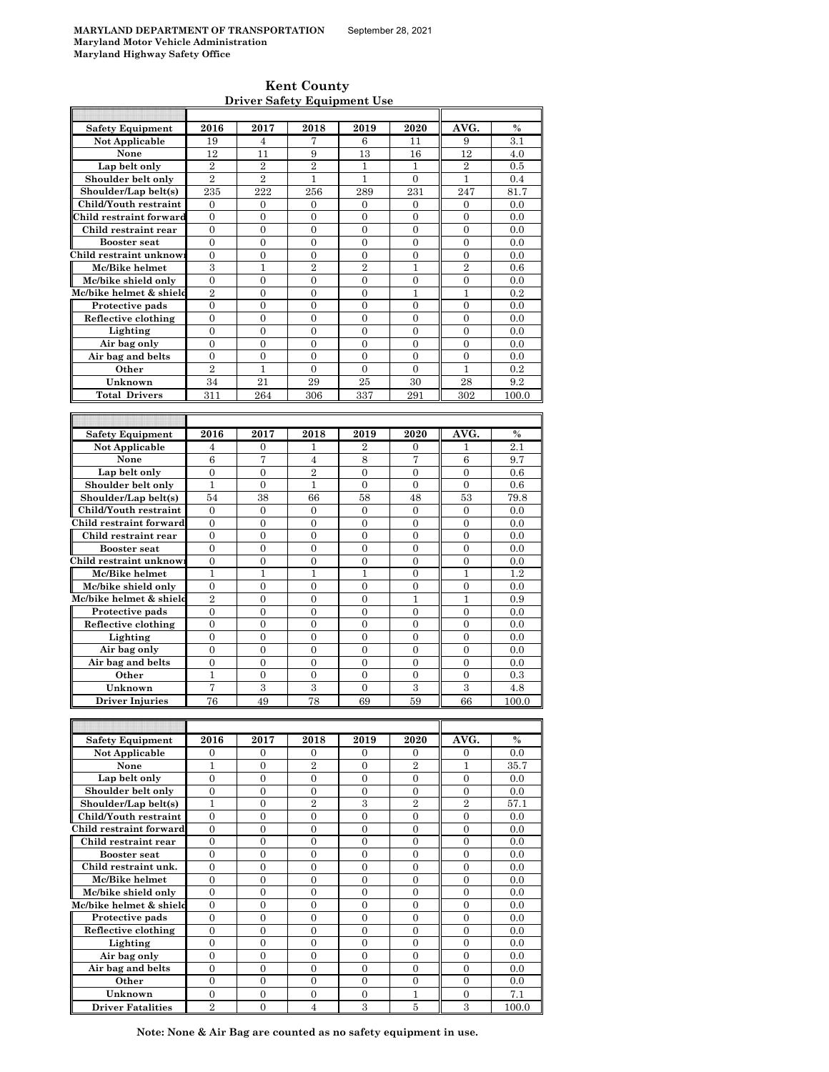### **Kent County Driver Safety Equipment Use**

| <b>Safety Equipment</b>                       | 2016                  | 2017                                 | 2018                | 2019                | 2020              | AVG.                | $\frac{0}{0}$ |
|-----------------------------------------------|-----------------------|--------------------------------------|---------------------|---------------------|-------------------|---------------------|---------------|
| Not Applicable                                | 19                    | 4                                    | 7                   | 6                   | 11                | 9                   | 3.1           |
| None                                          | 12                    | 11                                   | 9                   | 13                  | 16                | 12                  | 4.0           |
| Lap belt only                                 | $\overline{2}$        | $\overline{2}$                       | $\overline{2}$      | $\mathbf{1}$        | 1                 | $\overline{2}$      | 0.5           |
| Shoulder belt only                            | $\overline{2}$        | $\overline{2}$                       | $\mathbf{1}$        | $\mathbf{1}$        | $\boldsymbol{0}$  | $\mathbf{1}$        | 0.4           |
|                                               |                       | 222                                  |                     |                     |                   |                     |               |
| Shoulder/Lap belt(s)                          | 235                   |                                      | 256                 | 289                 | 231               | 247                 | 81.7          |
| Child/Youth restraint                         | $\boldsymbol{0}$      | $\boldsymbol{0}$                     | $\boldsymbol{0}$    | 0                   | $\boldsymbol{0}$  | $\boldsymbol{0}$    | 0.0           |
| Child restraint forward                       | $\boldsymbol{0}$      | $\boldsymbol{0}$                     | 0                   | 0                   | $\boldsymbol{0}$  | $\boldsymbol{0}$    | 0.0           |
| Child restraint rear                          | $\mathbf{0}$          | $\mathbf{0}$                         | $\overline{0}$      | $\overline{0}$      | $\overline{0}$    | $\overline{0}$      | 0.0           |
| <b>Booster seat</b>                           | $\boldsymbol{0}$      | $\boldsymbol{0}$                     | $\boldsymbol{0}$    | $\mathbf{0}$        | $\boldsymbol{0}$  | $\boldsymbol{0}$    | 0.0           |
| Child restraint unknow                        | $\overline{0}$        | $\boldsymbol{0}$                     | $\overline{0}$      | $\overline{0}$      | $\overline{0}$    | $\overline{0}$      | 0.0           |
| Mc/Bike helmet                                | 3                     | 1                                    | $\overline{2}$      | $\overline{2}$      | 1                 | $\overline{2}$      | 0.6           |
| Mc/bike shield only                           | $\overline{0}$        | $\overline{0}$                       | $\overline{0}$      | $\overline{0}$      | $\overline{0}$    | $\overline{0}$      | 0.0           |
| Mc/bike helmet & shield                       | $\overline{2}$        | $\overline{0}$                       | $\overline{0}$      | $\overline{0}$      | $\mathbf{1}$      | $\mathbf{1}$        | 0.2           |
|                                               |                       |                                      |                     |                     |                   |                     |               |
| Protective pads                               | $\boldsymbol{0}$      | $\boldsymbol{0}$                     | 0                   | 0                   | $\boldsymbol{0}$  | $\boldsymbol{0}$    | 0.0           |
| Reflective clothing                           | $\boldsymbol{0}$      | $\boldsymbol{0}$                     | $\overline{0}$      | $\overline{0}$      | $\overline{0}$    | 0                   | 0.0           |
| Lighting                                      | $\boldsymbol{0}$      | $\boldsymbol{0}$                     | 0                   | 0                   | 0                 | $\overline{0}$      | 0.0           |
| Air bag only                                  | $\overline{0}$        | $\overline{0}$                       | $\overline{0}$      | $\overline{0}$      | $\overline{0}$    | $\overline{0}$      | 0.0           |
| Air bag and belts                             | $\boldsymbol{0}$      | $\boldsymbol{0}$                     | $\overline{0}$      | $\overline{0}$      | $\overline{0}$    | $\mathbf{0}$        | 0.0           |
| Other                                         | $\overline{2}$        | $\mathbf{1}$                         | $\overline{0}$      | $\overline{0}$      | $\overline{0}$    | 1                   | 0.2           |
| Unknown                                       | 34                    | 21                                   | 29                  | 25                  | 30                | 28                  | 9.2           |
| <b>Total Drivers</b>                          |                       |                                      |                     |                     |                   |                     |               |
|                                               | 311                   | 264                                  | 306                 | 337                 | 291               | 302                 | 100.0         |
|                                               |                       |                                      |                     |                     |                   |                     |               |
|                                               |                       |                                      |                     |                     |                   |                     |               |
| <b>Safety Equipment</b>                       | 2016                  | 2017                                 | 2018                | 2019                | 2020              | AVG.                | $\%$          |
| Not Applicable                                | 4                     | $\mathbf{0}$                         | 1                   | $\overline{2}$      | $\mathbf{0}$      | 1                   | 2.1           |
| None                                          | 6                     | 7                                    | $\overline{4}$      | 8                   | 7                 | 6                   | 9.7           |
| Lap belt only                                 | $\boldsymbol{0}$      | $\boldsymbol{0}$                     | $\overline{2}$      | 0                   | $\boldsymbol{0}$  | $\overline{0}$      | 0.6           |
| Shoulder belt only                            | 1                     | $\mathbf{0}$                         | $\mathbf{1}$        | $\overline{0}$      | $\boldsymbol{0}$  | $\boldsymbol{0}$    | 0.6           |
| Shoulder/Lap belt(s)                          | 54                    | 38                                   | 66                  | 58                  | 48                | 53                  | 79.8          |
|                                               |                       |                                      |                     |                     |                   |                     |               |
| Child/Youth restraint                         | $\boldsymbol{0}$      | $\boldsymbol{0}$                     | $\boldsymbol{0}$    | 0                   | 0                 | 0                   | 0.0           |
| Child restraint forward                       | $\overline{0}$        | $\boldsymbol{0}$                     | $\boldsymbol{0}$    | $\overline{0}$      | $\overline{0}$    | $\overline{0}$      | 0.0           |
| Child restraint rear                          | $\overline{0}$        | $\boldsymbol{0}$                     | $\overline{0}$      | $\overline{0}$      | $\mathbf{0}$      | $\overline{0}$      | 0.0           |
| <b>Booster seat</b>                           | $\mathbf{0}$          | $\mathbf{0}$                         | $\overline{0}$      | $\overline{0}$      | $\overline{0}$    | 0                   | 0.0           |
|                                               |                       |                                      |                     |                     |                   |                     |               |
|                                               | $\overline{0}$        | $\overline{0}$                       | $\overline{0}$      | $\overline{0}$      | $\overline{0}$    | $\overline{0}$      | 0.0           |
| Mc/Bike helmet                                | 1                     | 1                                    | 1                   | 1                   | $\boldsymbol{0}$  | 1                   | 1.2           |
|                                               |                       |                                      |                     |                     |                   |                     |               |
| Child restraint unknow<br>Mc/bike shield only | $\mathbf{0}$          | $\mathbf{0}$                         | $\overline{0}$      | $\overline{0}$      | $\boldsymbol{0}$  | 0                   | 0.0           |
| Mc/bike helmet & shield                       | $\overline{2}$        | $\mathbf{0}$                         | $\mathbf{0}$        | 0                   | 1                 | 1                   | 0.9           |
| Protective pads                               | $\overline{0}$        | $\overline{0}$                       | $\overline{0}$      | $\overline{0}$      | $\overline{0}$    | $\overline{0}$      | 0.0           |
| Reflective clothing                           | $\boldsymbol{0}$      | $\boldsymbol{0}$                     | 0                   | $\boldsymbol{0}$    | $\boldsymbol{0}$  | 0                   | 0.0           |
| Lighting                                      | $\overline{0}$        | $\overline{0}$                       | $\overline{0}$      | $\overline{0}$      | $\overline{0}$    | $\overline{0}$      | 0.0           |
| Air bag only                                  | $\boldsymbol{0}$      | $\boldsymbol{0}$                     | $\overline{0}$      | $\overline{0}$      | $\mathbf{0}$      | $\overline{0}$      | 0.0           |
| Air bag and belts                             | $\overline{0}$        | $\overline{0}$                       | $\overline{0}$      | $\overline{0}$      | $\overline{0}$    | $\overline{0}$      | 0.0           |
| Other                                         | $\mathbf{1}$          | $\boldsymbol{0}$                     | $\boldsymbol{0}$    | $\boldsymbol{0}$    | $\overline{0}$    | $\boldsymbol{0}$    | 0.3           |
| Unknown                                       | 7                     |                                      |                     | $\overline{0}$      |                   |                     |               |
|                                               |                       | 3                                    | 3                   |                     | 3                 | 3                   | 4.8           |
| <b>Driver Injuries</b>                        | 76                    | 49                                   | 78                  | 69                  | 59                | 66                  | 100.0         |
|                                               |                       |                                      |                     |                     |                   |                     |               |
|                                               |                       |                                      |                     |                     |                   |                     |               |
| <b>Safety Equipment</b>                       | 2016                  | 2017                                 | 2018                | 2019                | 2020              | AVG.                | $\%$          |
| Not Applicable                                | 0                     | 0                                    | 0                   | 0                   | 0                 | 0                   | 0.0           |
| None                                          | 1                     | 0                                    | $\overline{2}$      | 0                   | $\overline{2}$    | 1                   | 35.7          |
| Lap belt only                                 | $\boldsymbol{0}$      | $\boldsymbol{0}$                     | 0                   | $\boldsymbol{0}$    | 0                 | $\boldsymbol{0}$    | 0.0           |
| Shoulder belt only                            | $\boldsymbol{0}$      | $\boldsymbol{0}$                     | 0                   | $\boldsymbol{0}$    | $\boldsymbol{0}$  | $\overline{0}$      | 0.0           |
| Shoulder/Lap belt(s)                          | $\mathbf{1}$          | $\boldsymbol{0}$                     | $\overline{2}$      | 3                   | $\overline{2}$    | $\overline{2}$      | 57.1          |
|                                               | $\overline{0}$        | $\overline{0}$                       | $\overline{0}$      | $\overline{0}$      | $\overline{0}$    | $\overline{0}$      |               |
| Child/Youth restraint                         |                       |                                      |                     |                     |                   |                     | 0.0           |
| Child restraint forward                       | $\overline{0}$        | $\overline{0}$                       | $\overline{0}$      | $\overline{0}$      | $\overline{0}$    | $\overline{0}$      | 0.0           |
| Child restraint rear                          | $\boldsymbol{0}$      | $\boldsymbol{0}$                     | 0                   | 0                   | 0                 | 0                   | 0.0           |
| <b>Booster seat</b>                           | $\boldsymbol{0}$      | $\boldsymbol{0}$                     | $\mathbf{0}$        | 0                   | $\boldsymbol{0}$  | $\boldsymbol{0}$    | 0.0           |
| Child restraint unk.                          | $\boldsymbol{0}$      | $\boldsymbol{0}$                     | 0                   | 0                   | $\boldsymbol{0}$  | $\boldsymbol{0}$    | 0.0           |
| Mc/Bike helmet                                | $\overline{0}$        | $\overline{0}$                       | $\overline{0}$      | $\overline{0}$      | $\overline{0}$    | $\overline{0}$      | 0.0           |
| Mc/bike shield only                           | $\boldsymbol{0}$      | $\boldsymbol{0}$                     | 0                   | $\boldsymbol{0}$    | $\boldsymbol{0}$  | 0                   | 0.0           |
| Mc/bike helmet & shield                       | $\overline{0}$        | $\overline{0}$                       | $\overline{0}$      | $\overline{0}$      | $\overline{0}$    | $\overline{0}$      | 0.0           |
|                                               | $\boldsymbol{0}$      | $\boldsymbol{0}$                     | $\boldsymbol{0}$    | $\boldsymbol{0}$    | $\boldsymbol{0}$  | $\boldsymbol{0}$    | 0.0           |
| Protective pads                               |                       |                                      |                     |                     |                   |                     |               |
| Reflective clothing                           | $\overline{0}$        | $\overline{0}$                       | $\overline{0}$      | $\overline{0}$      | $\overline{0}$    | $\overline{0}$      | 0.0           |
| Lighting                                      | $\mathbf{0}$          | $\boldsymbol{0}$                     | $\boldsymbol{0}$    | 0                   | $\boldsymbol{0}$  | $\boldsymbol{0}$    | 0.0           |
| Air bag only                                  | $\boldsymbol{0}$      | $\boldsymbol{0}$                     | $\boldsymbol{0}$    | 0                   | $\boldsymbol{0}$  | $\overline{0}$      | 0.0           |
| Air bag and belts                             | $\boldsymbol{0}$      | $\boldsymbol{0}$                     | $\boldsymbol{0}$    | 0                   | $\boldsymbol{0}$  | $\boldsymbol{0}$    | 0.0           |
| Other<br>Unknown                              | 0<br>$\boldsymbol{0}$ | $\boldsymbol{0}$<br>$\boldsymbol{0}$ | 0<br>$\overline{0}$ | 0<br>$\overline{0}$ | 0<br>$\mathbf{1}$ | 0<br>$\overline{0}$ | 0.0<br>7.1    |

**Driver Fatalities** 2 0 4 3 5 3 100.0 **Note: None & Air Bag are counted as no safety equipment in use.**

 $\overline{\phantom{a}}$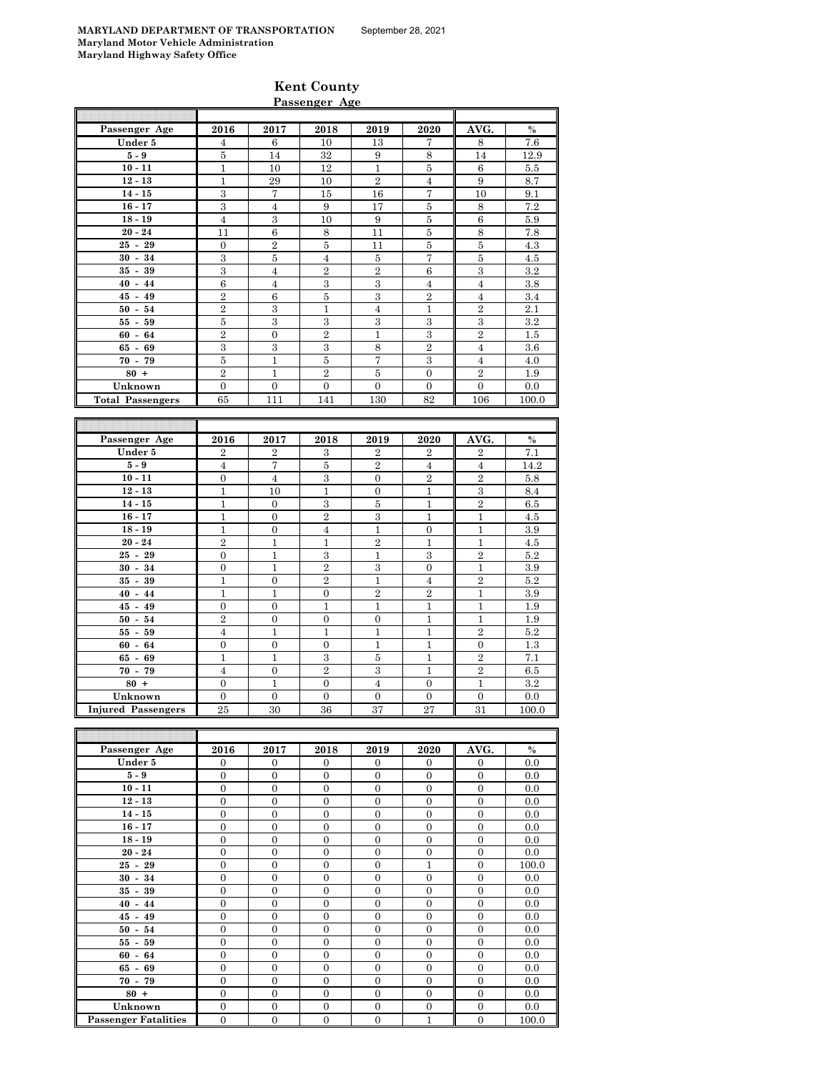**Kent County**

|                         |                  |                | Passenger Age    |                         |                  |                  |               |
|-------------------------|------------------|----------------|------------------|-------------------------|------------------|------------------|---------------|
|                         |                  |                |                  |                         |                  |                  |               |
| Passenger Age           | 2016             | 2017           | 2018             | 2019                    | 2020             | AVG.             | $\frac{0}{0}$ |
| Under 5                 | 4                | 6              | 10               | 13                      | 7                | 8                | 7.6           |
| $5-9$                   | $\bf 5$          | 14             | 32               | 9                       | 8                | 14               | 12.9          |
| $10 - 11$               | $\mathbf{1}$     | 10             | 12               | $\mathbf{1}$            | 5                | 6                | 5.5           |
| $12 - 13$               | $\mathbf{1}$     | 29             | 10               | $\overline{2}$          | $\overline{4}$   | 9                | 8.7           |
| $14 - 15$               | $\overline{3}$   | $\overline{7}$ | 15               | 16                      | $\overline{7}$   | 10               | 9.1           |
| $16 - 17$               | $\overline{3}$   | $\overline{4}$ | 9                | 17                      | $\bf 5$          | $\,8\,$          | 7.2           |
| $18 - 19$               | $\overline{4}$   | $\,3$          | 10               | 9                       | $\bf 5$          | $\,6\,$          | 5.9           |
| $20 - 24$               | 11               | $\,6$          | 8                | 11                      | $\bf 5$          | 8                | 7.8           |
| $25 - 29$               | $\boldsymbol{0}$ | $\,2$          | $\bf 5$          | 11                      | $\bf 5$          | $\bf 5$          | 4.3           |
| $30 - 34$               | $\,3$            | $\bf 5$        | $\overline{4}$   | $\bf 5$                 | $\overline{7}$   | $\bf 5$          | 4.5           |
| $35 - 39$               | $\overline{3}$   | $\overline{4}$ | $\overline{2}$   | $\overline{2}$          | $\boldsymbol{6}$ | $\boldsymbol{3}$ | 3.2           |
| $40 - 44$               | $\boldsymbol{6}$ | $\overline{4}$ | 3                | 3                       | $\overline{4}$   | $\overline{4}$   | 3.8           |
| $45 - 49$               | $\overline{2}$   | 6              | $\overline{5}$   | 3                       | $\overline{2}$   | $\overline{4}$   | 3.4           |
| $50 - 54$               | $\overline{2}$   | 3              | $\mathbf{1}$     | $\overline{4}$          | $\mathbf{1}$     | $\overline{2}$   | 2.1           |
| $55 - 59$               | $\bf 5$          | 3              | $\boldsymbol{3}$ | $\,3$                   | $\,3$            | $\,3$            | $\rm 3.2$     |
| $60 - 64$               | $\overline{2}$   | $\overline{0}$ | $\overline{2}$   | $\mathbf{1}$            | $\,3$            | $\overline{2}$   | 1.5           |
| $65 - 69$               | 3                | 3              | $\,3$            | 8                       | $\overline{2}$   | $\overline{4}$   | 3.6           |
| $70 - 79$               | $\bf 5$          | $\mathbf{1}$   | $\bf 5$          | 7                       | $\,3$            | $\overline{4}$   | 4.0           |
| $80 +$                  | $\overline{2}$   | $\mathbf{1}$   | $\overline{2}$   | $\overline{\mathbf{5}}$ | $\overline{0}$   | $\overline{2}$   | 1.9           |
| Unknown                 | $\overline{0}$   | $\overline{0}$ | $\overline{0}$   | $\overline{0}$          | $\overline{0}$   | $\overline{0}$   | 0.0           |
| <b>Total Passengers</b> | 65               | 111            | 141              | 130                     | 82               | 106              | 100.0         |
|                         |                  |                |                  |                         |                  |                  |               |
|                         |                  |                |                  |                         |                  |                  |               |
| Passenger Age           | 2016             | 2017           | 2018             | 2019                    | 2020             | AVG.             | $\%$          |
| Under 5                 | $\overline{2}$   | $\overline{2}$ | $\,3$            | $\overline{2}$          | $\overline{2}$   | $\overline{2}$   | 7.1           |
| $5-9$                   | $\overline{4}$   | 7              | $\bf 5$          | $\overline{2}$          | $\overline{4}$   | $\overline{4}$   | 14.2          |
| $10 - 11$               | $\boldsymbol{0}$ | $\overline{4}$ | 3                | $\boldsymbol{0}$        | $\overline{2}$   | $\overline{2}$   | 5.8           |
| $12 - 13$               | $\mathbf{1}$     | 10             | $\mathbf{1}$     | $\mathbf{0}$            | $\mathbf{1}$     | 3                | 8.4           |
| $14 - 15$               | $\mathbf{1}$     | $\overline{0}$ | 3                | $\bf 5$                 | $\mathbf{1}$     | $\overline{2}$   | 6.5           |
| $16 - 17$               | $\mathbf{1}$     | $\overline{0}$ | $\overline{2}$   | $\,3\,$                 | $\mathbf{1}$     | $\mathbf{1}$     | 4.5           |
| $18 - 19$               | $\mathbf{1}$     | $\overline{0}$ | $\overline{4}$   | $\mathbf{1}$            | $\mathbf{0}$     | $\mathbf{1}$     | 3.9           |
| $20 - 24$               | $\overline{2}$   | $\mathbf 1$    | $\mathbf{1}$     | $\overline{2}$          | $\mathbf{1}$     | $\mathbf{1}$     | 4.5           |
| $25 - 29$               | $\boldsymbol{0}$ | $\mathbf{1}$   | $\,3$            | $\mathbf{1}$            | $\,3$            | $\overline{2}$   | $5.2\,$       |
| $30 - 34$               | $\overline{0}$   | $\mathbf{1}$   | $\overline{2}$   | $\overline{3}$          | $\overline{0}$   | $\mathbf{1}$     | 3.9           |
| $35 - 39$               | $\mathbf{1}$     | $\overline{0}$ | $\overline{2}$   | $\mathbf{1}$            | $\overline{4}$   | $\overline{2}$   | 5.2           |
| $40 - 44$               | $\mathbf{1}$     | $\mathbf{1}$   | $\overline{0}$   | $\overline{2}$          | $\overline{2}$   | 1                | 3.9           |
| $45 - 49$               | $\overline{0}$   | $\overline{0}$ | $\overline{1}$   | $\mathbf{1}$            | $\mathbf{1}$     | $\mathbf{1}$     | 1.9           |
| $50 - 54$               | $\overline{2}$   | $\overline{0}$ | $\overline{0}$   | $\overline{0}$          | $\mathbf{1}$     | 1                | 1.9           |
| $55 - 59$               | 4                | 1              | 1                | 1                       | 1                | $\overline{2}$   | $5.2\,$       |
| $60 - 64$               | $\overline{0}$   | $\overline{0}$ | $\overline{0}$   | $\mathbf{1}$            | $\mathbf{1}$     | $\mathbf{0}$     | 1.3           |
| $65 - 69$               | $\mathbf{1}$     | $\mathbf{1}$   | 3                | 5                       | $\mathbf{1}$     | $\overline{2}$   | 7.1           |
| $70 - 79$               | $\overline{4}$   | $\overline{0}$ | $\overline{2}$   | 3                       | $\mathbf{1}$     | $\overline{2}$   | $6.5\,$       |

| Passenger Age               | 2016           | 2017           | 2018           | 2019         | 2020           | AVG.           | $\%$  |
|-----------------------------|----------------|----------------|----------------|--------------|----------------|----------------|-------|
| Under 5                     | $\overline{0}$ | $\mathbf{0}$   | $\Omega$       | $\Omega$     | $\Omega$       | $\Omega$       | 0.0   |
| $5-9$                       | $\overline{0}$ | $\overline{0}$ | $\overline{0}$ | $\mathbf{0}$ | $\overline{0}$ | $\mathbf{0}$   | 0.0   |
| $10 - 11$                   | $\overline{0}$ | $\overline{0}$ | $\Omega$       | $\Omega$     | $\Omega$       | $\Omega$       | 0.0   |
| $12 - 13$                   | $\mathbf{0}$   | $\theta$       | $\Omega$       | $\theta$     | $\Omega$       | $\Omega$       | 0.0   |
| $14 - 15$                   | $\mathbf{0}$   | $\mathbf{0}$   | $\mathbf{0}$   | $\mathbf{0}$ | $\overline{0}$ | $\mathbf{0}$   | 0.0   |
| $16 - 17$                   | $\overline{0}$ | $\overline{0}$ | $\Omega$       | $\theta$     | $\Omega$       | $\Omega$       | 0.0   |
| $18 - 19$                   | $\mathbf{0}$   | $\overline{0}$ | $\mathbf{0}$   | $\mathbf{0}$ | $\mathbf{0}$   | $\mathbf{0}$   | 0.0   |
| $20 - 24$                   | $\Omega$       | $\theta$       | $\Omega$       | $\theta$     | $\Omega$       | $\Omega$       | 0.0   |
| $25 - 29$                   | $\mathbf{0}$   | $\overline{0}$ | $\overline{0}$ | $\mathbf{0}$ | 1              | $\mathbf{0}$   | 100.0 |
| $30 - 34$                   | $\overline{0}$ | $\overline{0}$ | $\overline{0}$ | $\theta$     | $\Omega$       | $\mathbf{0}$   | 0.0   |
| $35 - 39$                   | $\overline{0}$ | $\overline{0}$ | $\Omega$       | $\Omega$     | $\Omega$       | $\Omega$       | 0.0   |
| $40 - 44$                   | $\overline{0}$ | $\overline{0}$ | $\overline{0}$ | $\mathbf{0}$ | $\Omega$       | $\Omega$       | 0.0   |
| $45 - 49$                   | $\overline{0}$ | $\overline{0}$ | $\overline{0}$ | $\Omega$     | $\Omega$       | $\Omega$       | 0.0   |
| $50 - 54$                   | $\overline{0}$ | $\overline{0}$ | $\overline{0}$ | $\mathbf{0}$ | $\overline{0}$ | $\mathbf{0}$   | 0.0   |
| $55 - 59$                   | $\overline{0}$ | $\overline{0}$ | $\overline{0}$ | $\Omega$     | $\mathbf{0}$   | $\mathbf{0}$   | 0.0   |
| $60 - 64$                   | $\overline{0}$ | $\overline{0}$ | $\overline{0}$ | $\mathbf{0}$ | $\Omega$       | $\Omega$       | 0.0   |
| $65 - 69$                   | $\overline{0}$ | $\overline{0}$ | $\overline{0}$ | $\mathbf{0}$ | $\mathbf{0}$   | $\mathbf{0}$   | 0.0   |
| $70 - 79$                   | $\overline{0}$ | $\overline{0}$ | $\overline{0}$ | $\mathbf{0}$ | $\overline{0}$ | $\mathbf{0}$   | 0.0   |
| $80 +$                      | $\mathbf{0}$   | $\overline{0}$ | $\mathbf{0}$   | $\mathbf{0}$ | $\overline{0}$ | $\mathbf{0}$   | 0.0   |
| Unknown                     | $\overline{0}$ | $\overline{0}$ | $\overline{0}$ | $\mathbf{0}$ | $\overline{0}$ | $\overline{0}$ | 0.0   |
| <b>Passenger Fatalities</b> | $\overline{0}$ | $\overline{0}$ | $\overline{0}$ | $\mathbf{0}$ | 1              | $\mathbf{0}$   | 100.0 |

**80 +** 0 1 0 4 0 1 3.2 **Unknown** 0 0 0 0 0 0 0.0 **Injured Passengers** 25 30 36 37 27 31 100.0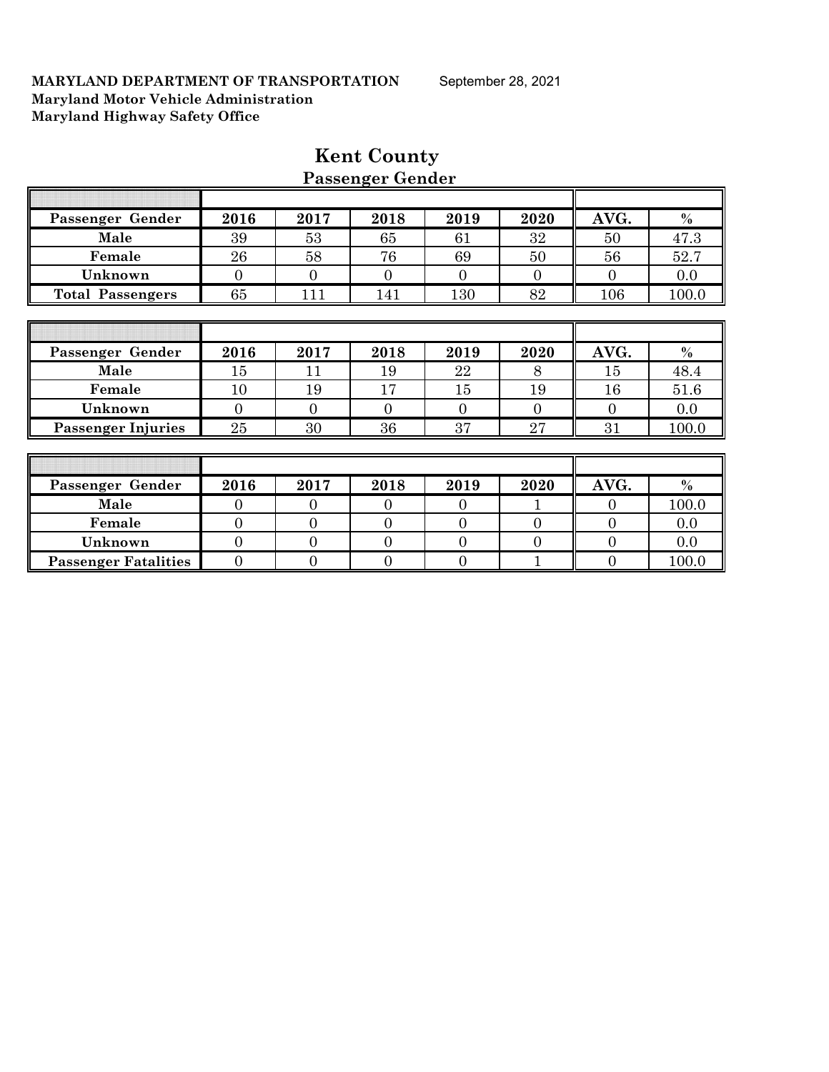|                             |                |                | I assenger achuer |                |                |                |       |
|-----------------------------|----------------|----------------|-------------------|----------------|----------------|----------------|-------|
|                             |                |                |                   |                |                |                |       |
| Passenger Gender            | 2016           | 2017           | 2018              | 2019           | 2020           | AVG.           | $\%$  |
| Male                        | 39             | 53             | 65                | 61             | 32             | 50             | 47.3  |
| Female                      | 26             | 58             | 76                | 69             | 50             | 56             | 52.7  |
| Unknown                     | $\mathbf{0}$   | $\overline{0}$ | $\overline{0}$    | $\overline{0}$ | $\overline{0}$ | $\overline{0}$ | 0.0   |
| <b>Total Passengers</b>     | 65             | 111            | 141               | 130            | 82             | 106            | 100.0 |
|                             |                |                |                   |                |                |                |       |
|                             |                |                |                   |                |                |                |       |
| Passenger Gender            | 2016           | 2017           | 2018              | 2019           | 2020           | AVG.           | $\%$  |
| Male                        | 15             | 11             | 19                | 22             | 8              | 15             | 48.4  |
| Female                      | 10             | 19             | 17                | 15             | 19             | 16             | 51.6  |
| Unknown                     | $\overline{0}$ | $\mathbf{0}$   | $\overline{0}$    | $\overline{0}$ | $\overline{0}$ | $\overline{0}$ | 0.0   |
| <b>Passenger Injuries</b>   | 25             | 30             | 36                | 37             | 27             | 31             | 100.0 |
|                             |                |                |                   |                |                |                |       |
|                             |                |                |                   |                |                |                |       |
| Passenger Gender            | 2016           | 2017           | 2018              | 2019           | 2020           | AVG.           | $\%$  |
| Male                        | $\overline{0}$ | $\overline{0}$ | $\theta$          | $\theta$       |                | $\overline{0}$ | 100.0 |
| Female                      | $\mathbf{0}$   | $\overline{0}$ | $\overline{0}$    | $\overline{0}$ | $\overline{0}$ | $\overline{0}$ | 0.0   |
| Unknown                     | $\overline{0}$ | $\overline{0}$ | $\overline{0}$    | $\overline{0}$ | $\overline{0}$ | $\overline{0}$ | 0.0   |
| <b>Passenger Fatalities</b> | $\overline{0}$ | $\overline{0}$ | $\overline{0}$    | $\mathbf{0}$   |                | $\mathbf{0}$   | 100.0 |

# **Kent County Passenger Gender**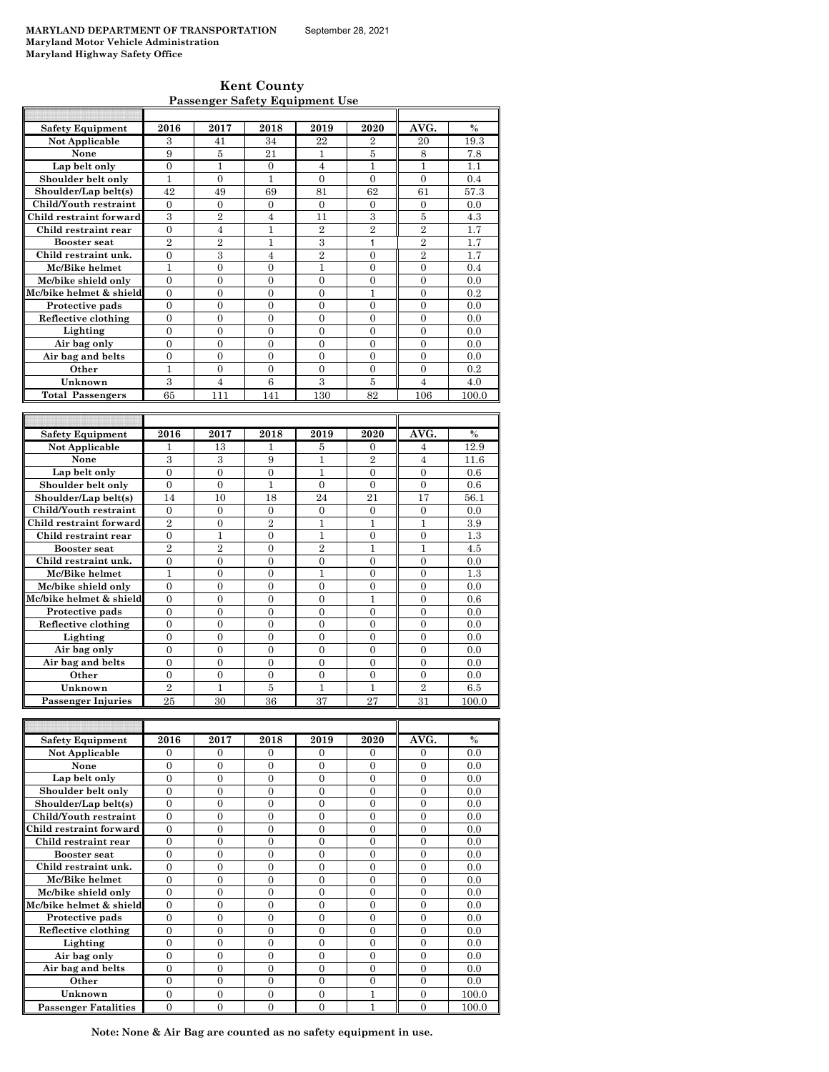**Kent County Passenger Safety Equipment Use**

| <b>Safety Equipment</b> | 2016                       | 2017                       | 2018                             | 2019                             | 2020                       | AVG.                       | $\%$       |
|-------------------------|----------------------------|----------------------------|----------------------------------|----------------------------------|----------------------------|----------------------------|------------|
| Not Applicable          | 3                          | 41                         | 34                               | 22                               | $\overline{2}$             | 20                         | 19.3       |
| None                    | 9                          | 5                          | 21                               | $\mathbf{1}$                     | 5                          | 8                          | 7.8        |
| Lap belt only           | $\overline{0}$             | $\mathbf{1}$               | $\overline{0}$                   | $\overline{4}$                   | 1                          | $\mathbf{1}$               | 1.1        |
| Shoulder belt only      | $\mathbf{1}$               | $\Omega$                   | $\mathbf{1}$                     | $\theta$                         | $\theta$                   | $\theta$                   | 0.4        |
| Shoulder/Lap belt(s)    | 42                         | 49                         | 69                               | 81                               | 62                         | 61                         | 57.3       |
| Child/Youth restraint   | $\mathbf{0}$               | $\mathbf{0}$               | $\mathbf{0}$                     | $\mathbf{0}$                     | $\mathbf{0}$               | $\mathbf{0}$               | 0.0        |
| Child restraint forward | 3                          | $\overline{2}$             | $\overline{4}$                   | 11                               | 3                          | 5                          | 4.3        |
| Child restraint rear    | $\overline{0}$             | $\overline{4}$             | $\mathbf{1}$                     | $\overline{2}$                   | $\overline{2}$             | $\overline{2}$             | 1.7        |
| <b>Booster</b> seat     | $\overline{2}$             | $\overline{2}$             | $\mathbf{1}$                     | 3                                | 1                          | $\overline{2}$             | 1.7        |
| Child restraint unk.    | $\overline{0}$             | 3                          | 4                                | $\overline{2}$                   | $\mathbf{0}$               | $\overline{2}$             | 1.7        |
| Mc/Bike helmet          | $\mathbf{1}$               | $\overline{0}$             | $\theta$                         | $\mathbf{1}$                     | $\theta$                   | $\theta$                   | 0.4        |
| Mc/bike shield only     | $\Omega$                   | $\Omega$                   | $\Omega$                         | $\Omega$                         | $\Omega$                   | $\Omega$                   | 0.0        |
| Mc/bike helmet & shield | $\overline{0}$             | $\overline{0}$             | $\overline{0}$                   | $\overline{0}$                   | 1                          | $\overline{0}$             | 0.2        |
| Protective pads         | $\overline{0}$             | $\overline{0}$             | $\overline{0}$                   | $\overline{0}$                   | $\mathbf{0}$               | $\overline{0}$             | 0.0        |
| Reflective clothing     | $\theta$                   | 0                          | $\overline{0}$                   | $\overline{0}$                   | $\mathbf{0}$               | $\theta$                   | 0.0        |
| Lighting                | $\overline{0}$             | $\overline{0}$             | $\overline{0}$                   | $\overline{0}$                   | $\overline{0}$             | $\overline{0}$             | 0.0        |
| Air bag only            | $\theta$                   | $\overline{0}$             | $\overline{0}$                   | $\overline{0}$                   | $\overline{0}$             | $\overline{0}$             | 0.0        |
| Air bag and belts       | $\theta$                   | $\Omega$                   | $\Omega$                         | $\Omega$                         | $\Omega$                   | $\Omega$                   | 0.0        |
| Other                   | $\mathbf{1}$               | $\overline{0}$             | $\overline{0}$                   | $\overline{0}$                   | $\overline{0}$             | $\overline{0}$             | 0.2        |
| Unknown                 | 3                          | $\overline{4}$             | 6                                | 3                                | 5                          | 4                          | 4.0        |
| <b>Total Passengers</b> | 65                         | 111                        | 141                              | 130                              | 82                         | 106                        | 100.0      |
|                         |                            |                            |                                  |                                  |                            |                            |            |
|                         |                            |                            |                                  |                                  |                            |                            |            |
| <b>Safety Equipment</b> | 2016                       | 2017                       | 2018                             | 2019                             | 2020                       | AVG.                       | %          |
| Not Applicable          | 1                          | 13                         | 1                                | 5                                | $\Omega$                   | $\overline{4}$             | 12.9       |
| None                    | 3                          | 3                          | 9                                | $\mathbf{1}$                     | $\overline{2}$             | $\overline{4}$             | 11.6       |
| Lap belt only           | $\overline{0}$             | $\overline{0}$             | $\overline{0}$                   | $\mathbf{1}$                     | $\overline{0}$             | $\overline{0}$             | 0.6        |
| Shoulder belt only      | $\overline{0}$             | $\overline{0}$             | $\mathbf{1}$                     | $\overline{0}$                   | $\mathbf{0}$               | $\overline{0}$             | 0.6        |
| Shoulder/Lap belt(s)    | 14                         | 10                         | 18                               | 24                               | 21                         | 17                         | 56.1       |
| Child/Youth restraint   | $\Omega$                   | $\Omega$                   | $\overline{0}$                   | $\Omega$                         | $\Omega$                   | $\mathbf{0}$               | 0.0        |
| Child restraint forward | $\overline{2}$             | $\overline{0}$             | $\overline{2}$                   | $\mathbf{1}$                     | 1                          | $\mathbf{1}$               | 3.9        |
| Child restraint rear    | $\overline{0}$             | $\mathbf{1}$               | $\overline{0}$                   | $\mathbf{1}$                     | $\mathbf{0}$               | $\overline{0}$             | 1.3        |
| <b>Booster seat</b>     | $\overline{2}$             | $\overline{2}$             | $\overline{0}$                   | $\overline{2}$                   | $\mathbf{1}$               | $\mathbf{1}$               | 4.5        |
| Child restraint unk.    | $\overline{0}$             | $\overline{0}$             | $\overline{0}$                   | $\overline{0}$                   | $\overline{0}$             | $\overline{0}$             | 0.0        |
| Mc/Bike helmet          | $\mathbf{1}$               | 0                          | $\overline{0}$                   | 1                                | $\overline{0}$             | $\overline{0}$             | 1.3        |
| Mc/bike shield only     | $\Omega$                   | $\Omega$                   | $\Omega$                         | $\Omega$                         | $\Omega$                   | $\Omega$                   | 0.0        |
| Mc/bike helmet & shield | $\overline{0}$             | 0                          | $\overline{0}$                   | $\overline{0}$                   | 1                          | $\overline{0}$             | 0.6        |
| Protective pads         | $\overline{0}$             | $\overline{0}$             | $\overline{0}$                   | $\overline{0}$                   | $\mathbf{0}$               | $\overline{0}$             | 0.0        |
| Reflective clothing     | $\Omega$                   | $\Omega$                   | $\theta$                         | $\theta$                         | $\Omega$                   | $\Omega$                   | 0.0        |
| Lighting                | $\theta$                   | $\overline{0}$             | $\overline{0}$                   | $\overline{0}$                   | $\overline{0}$             | $\overline{0}$             | 0.0        |
| Air bag only            |                            |                            |                                  |                                  |                            |                            |            |
| Air bag and belts       | $\Omega$<br>$\overline{0}$ | $\theta$<br>$\overline{0}$ | $\overline{0}$<br>$\overline{0}$ | $\overline{0}$<br>$\overline{0}$ | $\Omega$<br>$\overline{0}$ | $\theta$<br>$\overline{0}$ | 0.0<br>0.0 |

| <b>Safety Equipment</b>     | 2016     | 2017     | 2018     | 2019     | 2020     | AVG.     | $\frac{0}{0}$ |
|-----------------------------|----------|----------|----------|----------|----------|----------|---------------|
| Not Applicable              | $\Omega$ | $\Omega$ | $\Omega$ | $\Omega$ | $\Omega$ | $\Omega$ | 0.0           |
| None                        | $\Omega$ | $\Omega$ | $\Omega$ | $\Omega$ | $\Omega$ | $\Omega$ | 0.0           |
| Lap belt only               | $\Omega$ | $\Omega$ | $\Omega$ | $\Omega$ | $\Omega$ | $\theta$ | 0.0           |
| Shoulder belt only          | $\theta$ | $\theta$ | $\theta$ | $\theta$ | $\theta$ | $\theta$ | 0.0           |
| Shoulder/Lap belt(s)        | $\theta$ | $\Omega$ | $\Omega$ | $\Omega$ | $\Omega$ | $\Omega$ | 0.0           |
| Child/Youth restraint       | $\Omega$ | $\Omega$ | $\Omega$ | $\Omega$ | $\Omega$ | $\theta$ | 0.0           |
| Child restraint forward     | $\Omega$ | $\Omega$ | $\Omega$ | $\Omega$ | $\Omega$ | $\theta$ | 0.0           |
| Child restraint rear        | $\theta$ | $\theta$ | $\theta$ | $\theta$ | $\Omega$ | $\theta$ | 0.0           |
| <b>Booster seat</b>         | $\Omega$ | $\Omega$ | $\Omega$ | $\Omega$ | $\Omega$ | $\Omega$ | 0.0           |
| Child restraint unk.        | $\Omega$ | $\Omega$ | 0        | $\Omega$ | $\theta$ | $\theta$ | 0.0           |
| Mc/Bike helmet              | $\Omega$ | $\Omega$ | $\Omega$ | $\Omega$ | $\Omega$ | $\theta$ | 0.0           |
| Mc/bike shield only         | $\Omega$ | $\Omega$ | $\Omega$ | $\Omega$ | $\Omega$ | $\theta$ | 0.0           |
| Mc/bike helmet & shield     | $\Omega$ | $\Omega$ | $\Omega$ | $\Omega$ | $\Omega$ | $\theta$ | 0.0           |
| Protective pads             | $\theta$ | $\Omega$ | $\Omega$ | $\Omega$ | $\Omega$ | $\theta$ | 0.0           |
| Reflective clothing         | $\Omega$ | $\Omega$ | $\Omega$ | $\Omega$ | $\Omega$ | $\theta$ | 0.0           |
| Lighting                    | $\Omega$ | $\Omega$ | $\Omega$ | $\Omega$ | $\Omega$ | $\theta$ | 0.0           |
| Air bag only                | $\Omega$ | $\Omega$ | $\Omega$ | $\Omega$ | $\Omega$ | $\theta$ | 0.0           |
| Air bag and belts           | $\Omega$ | $\Omega$ | $\Omega$ | $\Omega$ | $\Omega$ | $\theta$ | 0.0           |
| Other                       | $\Omega$ | $\Omega$ | $\Omega$ | $\Omega$ | $\Omega$ | $\Omega$ | 0.0           |
| Unknown                     | $\Omega$ | $\Omega$ | $\Omega$ | $\Omega$ |          | $\theta$ | 100.0         |
| <b>Passenger Fatalities</b> | $\Omega$ | $\Omega$ | $\Omega$ | $\Omega$ |          | $\theta$ | 100.0         |

**Other**  $\begin{array}{|c|c|c|c|c|c|} \hline 0 & 0 & 0 & 0 & 0 & 0 & 0.0 \ \hline \end{array}$ **Unknown** 2 1 5 1 1 2 6.5<br> **Senger Injuries** 25 30 36 37 27 31 100.0

 **Passenger Injuries** 

F

**Note: None & Air Bag are counted as no safety equipment in use.**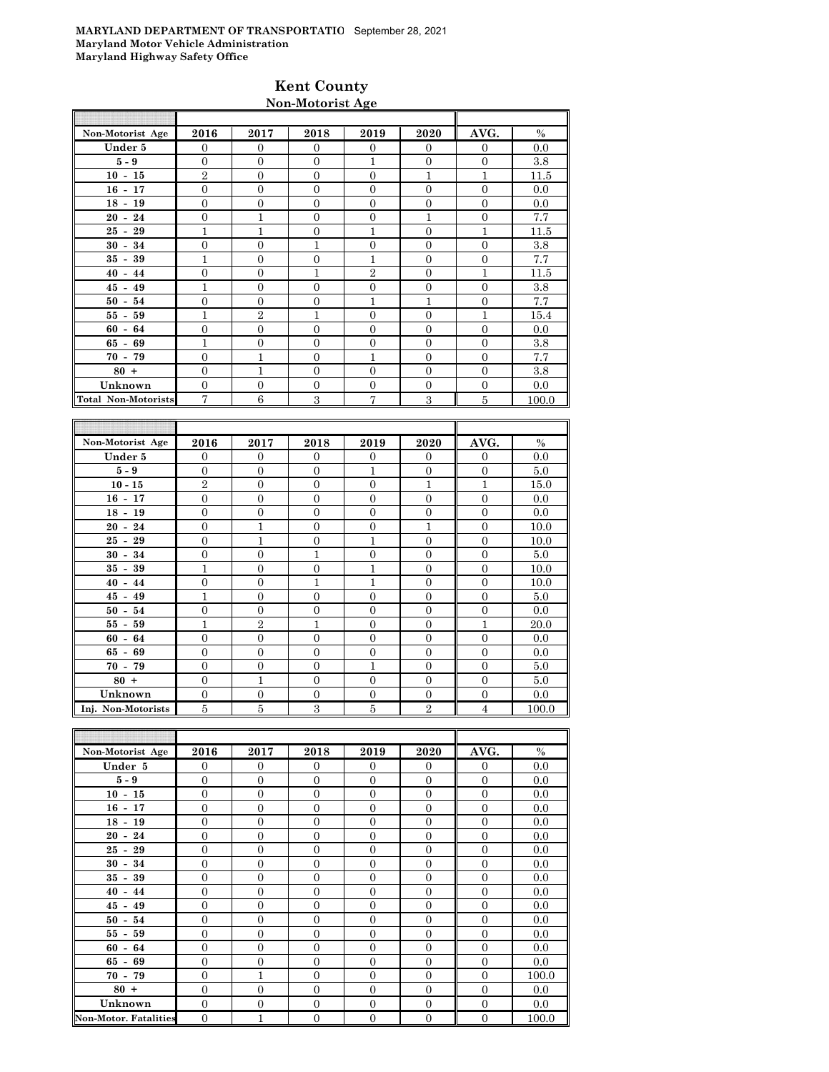# **Kent County Non-Motorist Age**

| Non-Motorist Age           | 2016             | 2017             | 2018             | 2019             | 2020             | AVG.             | $\%$    |
|----------------------------|------------------|------------------|------------------|------------------|------------------|------------------|---------|
| Under 5                    | $\mathbf{0}$     | $\mathbf{0}$     | $\mathbf{0}$     | $\mathbf{0}$     | $\mathbf{0}$     | $\mathbf{0}$     | 0.0     |
| $5-9$                      | $\Omega$         | $\Omega$         | $\overline{0}$   | $\mathbf{1}$     | $\overline{0}$   | $\overline{0}$   | 3.8     |
| $10 - 15$                  | $\overline{2}$   | $\mathbf{0}$     | $\overline{0}$   | $\overline{0}$   | $\mathbf{1}$     | $\mathbf{1}$     | 11.5    |
| $16 - 17$                  | $\overline{0}$   | $\overline{0}$   | $\overline{0}$   | $\overline{0}$   | $\mathbf{0}$     | $\overline{0}$   | 0.0     |
| $18 - 19$                  | $\overline{0}$   | $\overline{0}$   | $\overline{0}$   | $\overline{0}$   | $\overline{0}$   | $\overline{0}$   | $0.0\,$ |
| $20 - 24$                  | $\overline{0}$   | $\mathbf{1}$     | $\overline{0}$   | $\mathbf{0}$     | $\mathbf{1}$     | $\overline{0}$   | 7.7     |
| $25 - 29$                  | $\mathbf{1}$     | $\mathbf{1}$     | $\mathbf{0}$     | $\mathbf{1}$     | $\boldsymbol{0}$ | $\mathbf{1}$     | 11.5    |
| $30 - 34$                  | $\overline{0}$   | $\overline{0}$   | $\mathbf{1}$     | $\overline{0}$   | $\overline{0}$   | $\overline{0}$   | 3.8     |
| $35 - 39$                  | $\mathbf{1}$     | $\overline{0}$   | $\boldsymbol{0}$ | $\mathbf{1}$     | $\overline{0}$   | $\overline{0}$   | 7.7     |
| $40 - 44$                  | $\overline{0}$   | $\overline{0}$   | $\mathbf{1}$     | $\overline{2}$   | $\overline{0}$   | $\mathbf{1}$     | 11.5    |
| $45 - 49$                  | $\overline{1}$   | $\overline{0}$   | $\overline{0}$   | $\overline{0}$   | $\overline{0}$   | $\overline{0}$   | 3.8     |
| $50 - 54$                  | $\overline{0}$   | $\overline{0}$   | $\overline{0}$   | $\mathbf{1}$     | $\mathbf{1}$     | $\overline{0}$   | 7.7     |
| $55 - 59$                  | $\mathbf{1}$     | $\,2$            | $\mathbf{1}$     | $\boldsymbol{0}$ | $\boldsymbol{0}$ | $\mathbf{1}$     | 15.4    |
| $60 - 64$                  | $\overline{0}$   | $\mathbf{0}$     | $\Omega$         | $\overline{0}$   | $\overline{0}$   | $\overline{0}$   | 0.0     |
| $65 - 69$                  | $\mathbf{1}$     | $\overline{0}$   | $\overline{0}$   | $\overline{0}$   | $\overline{0}$   | $\overline{0}$   | 3.8     |
| $70 - 79$                  | $\overline{0}$   | $\mathbf{1}$     | $\overline{0}$   | $\mathbf{1}$     | $\overline{0}$   | $\overline{0}$   | 7.7     |
| $80 +$                     | $\overline{0}$   | $\mathbf{1}$     | $\overline{0}$   | $\mathbf{0}$     | $\overline{0}$   | $\overline{0}$   | 3.8     |
| Unknown                    | $\mathbf{0}$     | $\mathbf{0}$     | $\mathbf{0}$     | $\mathbf{0}$     | $\mathbf{0}$     | $\mathbf{0}$     | 0.0     |
| <b>Total Non-Motorists</b> | $\overline{7}$   | 6                | 3                | $\overline{7}$   | 3                | 5                | 100.0   |
|                            |                  |                  |                  |                  |                  |                  |         |
|                            |                  |                  |                  |                  |                  |                  |         |
| Non-Motorist Age           | 2016             | 2017             | 2018             | 2019             | 2020             | AVG.             | $\%$    |
| Under 5                    | $\overline{0}$   | $\mathbf{0}$     | $\boldsymbol{0}$ | $\boldsymbol{0}$ | $\mathbf{0}$     | $\boldsymbol{0}$ | 0.0     |
| $5-9$                      | $\overline{0}$   | $\mathbf{0}$     | $\Omega$         | $\mathbf{1}$     | $\overline{0}$   | $\overline{0}$   | 5.0     |
| $10 - 15$                  | $\overline{2}$   | $\overline{0}$   | $\overline{0}$   | $\overline{0}$   | $\mathbf{1}$     | $\mathbf{1}$     | 15.0    |
| $16 - 17$                  | $\mathbf{0}$     | $\mathbf{0}$     | $\mathbf{0}$     | $\mathbf{0}$     | $\overline{0}$   | $\overline{0}$   | 0.0     |
| $18 - 19$                  | $\mathbf{0}$     | $\mathbf{0}$     | $\mathbf{0}$     | $\mathbf{0}$     | $\overline{0}$   | $\overline{0}$   | 0.0     |
| $20 - 24$                  | $\overline{0}$   | $\mathbf{1}$     | $\overline{0}$   | $\mathbf{0}$     | $\mathbf{1}$     | $\overline{0}$   | 10.0    |
| $25 - 29$                  | $\mathbf{0}$     | $\mathbf{1}$     | $\overline{0}$   | $\mathbf{1}$     | $\boldsymbol{0}$ | $\overline{0}$   | 10.0    |
| $30 - 34$                  | $\overline{0}$   | $\overline{0}$   | $\mathbf{1}$     | $\overline{0}$   | $\overline{0}$   | $\overline{0}$   | 5.0     |
| $35 - 39$                  | $\overline{1}$   | $\overline{0}$   | $\boldsymbol{0}$ | $\mathbf{1}$     | $\boldsymbol{0}$ | $\overline{0}$   | 10.0    |
| $40 - 44$                  | $\boldsymbol{0}$ | $\boldsymbol{0}$ | $\mathbf 1$      | $\mathbf{1}$     | $\boldsymbol{0}$ | $\boldsymbol{0}$ | 10.0    |
| $45 - 49$                  | $\mathbf{1}$     | $\Omega$         | $\Omega$         | $\Omega$         | $\Omega$         | $\Omega$         | 50      |

| $40 - 44$          |   |  |  | 10.0  |
|--------------------|---|--|--|-------|
| $45 - 49$          |   |  |  | 5.0   |
| $50 - 54$          |   |  |  | 0.0   |
| $55 - 59$          |   |  |  | 20.0  |
| $60 - 64$          |   |  |  | 0.0   |
| $65 - 69$          |   |  |  | 0.0   |
| $70 - 79$          |   |  |  | 5.0   |
| $80 +$             |   |  |  | 5.0   |
| Unknown            | 0 |  |  | 0.0   |
| Inj. Non-Motorists |   |  |  | 100.0 |

| Non-Motorist Age             | 2016           | 2017           | 2018           | 2019           | 2020             | AVG.           | $\%$  |
|------------------------------|----------------|----------------|----------------|----------------|------------------|----------------|-------|
| Under 5                      | $\Omega$       | $\overline{0}$ | $\Omega$       | $\Omega$       | $\Omega$         | $\Omega$       | 0.0   |
| $5 - 9$                      | $\overline{0}$ | $\overline{0}$ | $\overline{0}$ | $\mathbf{0}$   | $\overline{0}$   | $\mathbf{0}$   | 0.0   |
| $10 - 15$                    | $\mathbf{0}$   | $\overline{0}$ | $\overline{0}$ | $\mathbf{0}$   | $\overline{0}$   | $\mathbf{0}$   | 0.0   |
| $16 - 17$                    | $\mathbf{0}$   | $\overline{0}$ | $\overline{0}$ | $\overline{0}$ | $\overline{0}$   | $\mathbf{0}$   | 0.0   |
| $18 - 19$                    | $\theta$       | $\overline{0}$ | $\theta$       | $\overline{0}$ | $\overline{0}$   | $\overline{0}$ | 0.0   |
| $20 - 24$                    | $\Omega$       | $\overline{0}$ | $\Omega$       | $\Omega$       | $\overline{0}$   | $\Omega$       | 0.0   |
| $25 - 29$                    | $\mathbf{0}$   | $\overline{0}$ | $\overline{0}$ | $\mathbf{0}$   | $\overline{0}$   | $\overline{0}$ | 0.0   |
| $30 - 34$                    | $\overline{0}$ | $\overline{0}$ | $\overline{0}$ | $\overline{0}$ | $\overline{0}$   | $\overline{0}$ | 0.0   |
| $35 - 39$                    | $\mathbf{0}$   | $\overline{0}$ | $\overline{0}$ | $\overline{0}$ | $\overline{0}$   | $\mathbf{0}$   | 0.0   |
| $40 - 44$                    | $\theta$       | $\overline{0}$ | $\theta$       | $\overline{0}$ | $\overline{0}$   | $\overline{0}$ | 0.0   |
| $45 - 49$                    | $\Omega$       | $\overline{0}$ | $\Omega$       | $\Omega$       | $\Omega$         | $\Omega$       | 0.0   |
| $50 - 54$                    | $\mathbf{0}$   | $\overline{0}$ | $\overline{0}$ | $\overline{0}$ | $\overline{0}$   | $\overline{0}$ | 0.0   |
| $55 - 59$                    | $\overline{0}$ | $\overline{0}$ | $\overline{0}$ | $\overline{0}$ | $\overline{0}$   | $\overline{0}$ | 0.0   |
| $60 - 64$                    | $\mathbf{0}$   | $\overline{0}$ | $\overline{0}$ | $\overline{0}$ | $\overline{0}$   | $\mathbf{0}$   | 0.0   |
| $65 - 69$                    | $\overline{0}$ | $\mathbf{0}$   | $\overline{0}$ | $\mathbf{0}$   | $\overline{0}$   | $\overline{0}$ | 0.0   |
| $70 - 79$                    | $\Omega$       | 1              | $\Omega$       | $\Omega$       | $\Omega$         | $\Omega$       | 100.0 |
| $80 +$                       | $\mathbf{0}$   | $\overline{0}$ | $\Omega$       | $\mathbf{0}$   | $\overline{0}$   | $\Omega$       | 0.0   |
| Unknown                      | $\overline{0}$ | $\overline{0}$ | $\overline{0}$ | $\mathbf{0}$   | $\boldsymbol{0}$ | $\overline{0}$ | 0.0   |
| <b>Non-Motor. Fatalities</b> | $\mathbf{0}$   | $\overline{1}$ | $\overline{0}$ | $\mathbf{0}$   | $\boldsymbol{0}$ | $\overline{0}$ | 100.0 |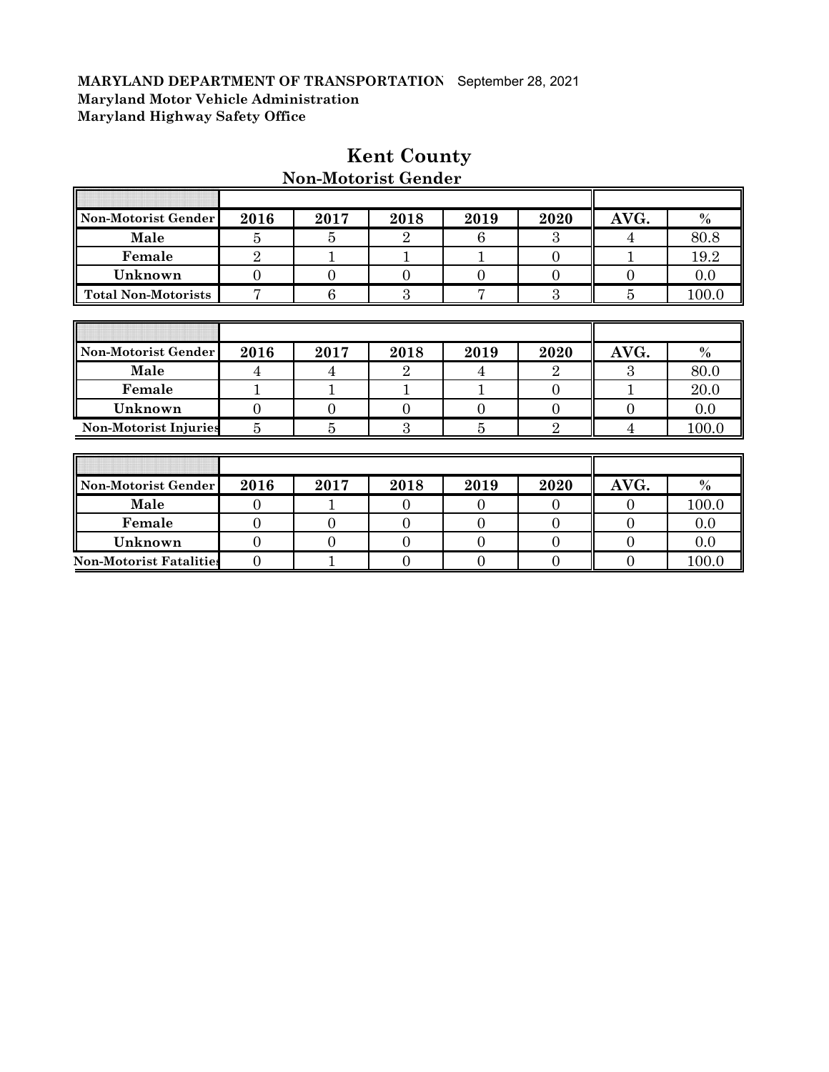| Non-Motorist Gender            | 2016           | 2017           | 2018           | 2019           | 2020             | AVG.           | $\%$  |
|--------------------------------|----------------|----------------|----------------|----------------|------------------|----------------|-------|
| Male                           | 5              | 5              | 2              | 6              | 3                | 4              | 80.8  |
| Female                         | $\overline{2}$ | $\mathbf{1}$   |                | 1              | $\boldsymbol{0}$ | 1              | 19.2  |
| Unknown                        | $\mathbf{0}$   | $\overline{0}$ | $\overline{0}$ | $\theta$       | $\overline{0}$   | $\overline{0}$ | 0.0   |
| <b>Total Non-Motorists</b>     | $\overline{7}$ | 6              | 3              | 7              | 3                | $\overline{5}$ | 100.0 |
|                                |                |                |                |                |                  |                |       |
|                                |                |                |                |                |                  |                |       |
| Non-Motorist Gender            | 2016           | 2017           | 2018           | 2019           | 2020             | AVG.           | $\%$  |
| Male                           | 4              | 4              | 2              | 4              | $\overline{2}$   | 3              | 80.0  |
| Female                         | 1              | 1              | 1              | 1              | $\overline{0}$   | 1              | 20.0  |
| Unknown                        | $\overline{0}$ | $\overline{0}$ | $\overline{0}$ | $\overline{0}$ | $\overline{0}$   | $\overline{0}$ | 0.0   |
| <b>Non-Motorist Injuries</b>   | $\overline{5}$ | $\overline{5}$ | 3              | $\overline{5}$ | 2                | 4              | 100.0 |
|                                |                |                |                |                |                  |                |       |
|                                |                |                |                |                |                  |                |       |
| Non-Motorist Gender            | 2016           | 2017           | 2018           | 2019           | 2020             | AVG.           | $\%$  |
| Male                           | $\overline{0}$ | 1              | $\Omega$       | $\Omega$       | $\Omega$         | $\Omega$       | 100.0 |
| Female                         | $\overline{0}$ | $\overline{0}$ | $\overline{0}$ | $\theta$       | $\overline{0}$   | $\overline{0}$ | 0.0   |
| Unknown                        | $\overline{0}$ | $\overline{0}$ | $\overline{0}$ | $\overline{0}$ | $\overline{0}$   | $\overline{0}$ | 0.0   |
| <b>Non-Motorist Fatalities</b> | $\overline{0}$ |                | 0              | $\overline{0}$ | 0                | $\overline{0}$ | 100.0 |

# **Kent County Non-Motorist Gender**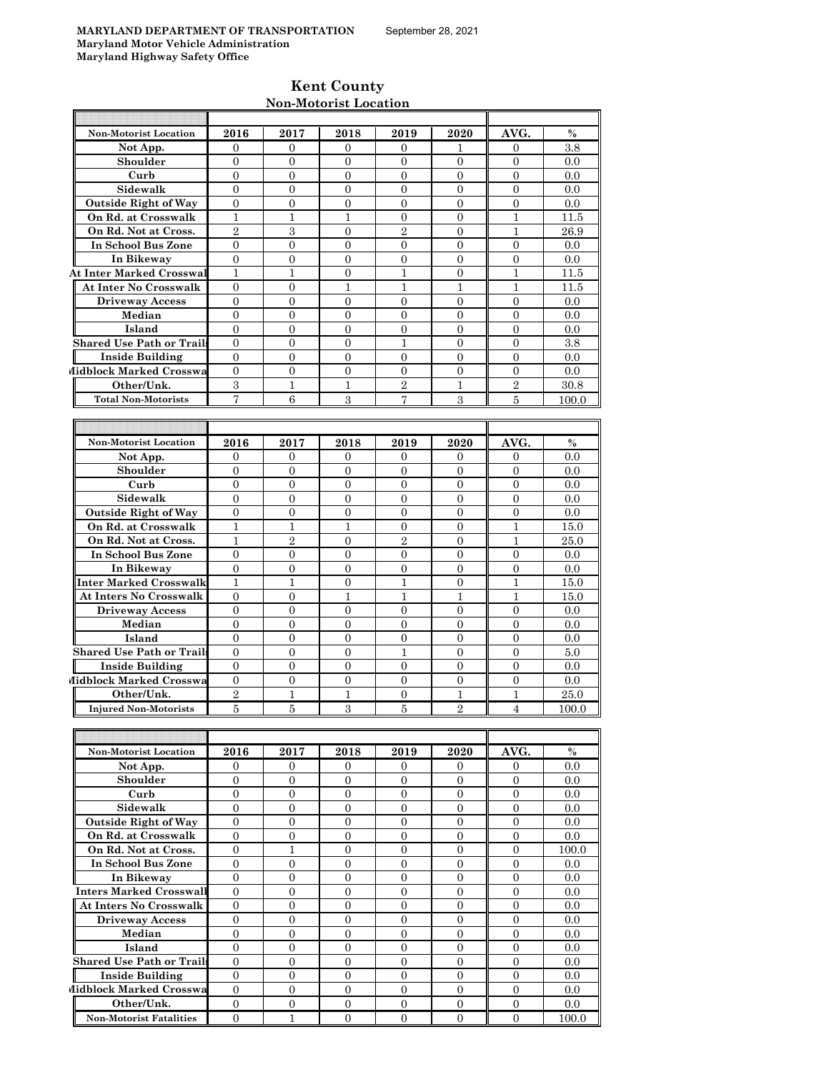| <b>Kent County</b>    |  |
|-----------------------|--|
| Non-Motorist Location |  |

|                                  |                  |                  | 11011 MO001150 LOCA01011 |                  |                  |                  |       |
|----------------------------------|------------------|------------------|--------------------------|------------------|------------------|------------------|-------|
|                                  |                  |                  |                          |                  |                  |                  |       |
| Non-Motorist Location            | 2016             | 2017             | 2018                     | 2019             | 2020             | AVG.             | $\%$  |
| Not App.                         | 0                | 0                | 0                        | 0                | 1                | 0                | 3.8   |
| Shoulder                         | $\mathbf{0}$     | $\mathbf{0}$     | $\overline{0}$           | $\overline{0}$   | $\overline{0}$   | $\Omega$         | 0.0   |
| Curb                             | $\mathbf{0}$     | $\mathbf{0}$     | $\overline{0}$           | $\overline{0}$   | $\overline{0}$   | $\overline{0}$   | 0.0   |
| Sidewalk                         | $\overline{0}$   | 0                | $\overline{0}$           | $\boldsymbol{0}$ | $\mathbf{0}$     | $\mathbf{0}$     | 0.0   |
| <b>Outside Right of Way</b>      | $\mathbf{0}$     | $\mathbf{0}$     | $\mathbf{0}$             | $\overline{0}$   | $\overline{0}$   | $\overline{0}$   | 0.0   |
| On Rd. at Crosswalk              | $\mathbf{1}$     | $\mathbf{1}$     | $\mathbf{1}$             | $\mathbf{0}$     | $\overline{0}$   | $\mathbf{1}$     | 11.5  |
| On Rd. Not at Cross.             | $\overline{2}$   | 3                | $\overline{0}$           | $\overline{2}$   | $\overline{0}$   | $\mathbf{1}$     | 26.9  |
| In School Bus Zone               | $\overline{0}$   | $\overline{0}$   | $\overline{0}$           | $\overline{0}$   | $\overline{0}$   | $\overline{0}$   | 0.0   |
| In Bikeway                       | $\mathbf{0}$     | $\overline{0}$   | $\Omega$                 | $\overline{0}$   | $\Omega$         | $\Omega$         | 0.0   |
| <b>At Inter Marked Crosswal</b>  | $\mathbf{1}$     | 1                | $\overline{0}$           | $\mathbf{1}$     | $\mathbf{0}$     | $\mathbf{1}$     | 11.5  |
| <b>At Inter No Crosswalk</b>     | $\theta$         | $\mathbf{0}$     | 1                        | 1                | 1                | 1                | 11.5  |
| <b>Driveway Access</b>           | $\mathbf{0}$     | $\mathbf{0}$     | $\overline{0}$           | $\overline{0}$   | $\mathbf{0}$     | $\overline{0}$   | 0.0   |
| Median                           | $\mathbf{0}$     | $\mathbf{0}$     | $\overline{0}$           | $\overline{0}$   | $\mathbf{0}$     | $\overline{0}$   | 0.0   |
| Island                           | $\theta$         | $\mathbf{0}$     | $\mathbf{0}$             | 0                | $\overline{0}$   | $\mathbf{0}$     | 0.0   |
| <b>Shared Use Path or Trails</b> | $\mathbf{0}$     | $\mathbf{0}$     | $\mathbf{0}$             | 1                | $\overline{0}$   | $\mathbf{0}$     | 3.8   |
| <b>Inside Building</b>           | $\Omega$         | $\Omega$         | $\Omega$                 | $\overline{0}$   | $\Omega$         | $\Omega$         | 0.0   |
| Midblock Marked Crosswa          | $\mathbf{0}$     | $\mathbf{0}$     | $\overline{0}$           | $\overline{0}$   | $\mathbf{0}$     | $\overline{0}$   | 0.0   |
| Other/Unk.                       | 3                | 1                | $\mathbf 1$              | $\sqrt{2}$       | 1                | $\sqrt{2}$       | 30.8  |
| <b>Total Non-Motorists</b>       | 7                | $\,6$            | 3                        | 7                | 3                | $\overline{5}$   | 100.0 |
|                                  |                  |                  |                          |                  |                  |                  |       |
|                                  |                  |                  |                          |                  |                  |                  |       |
| <b>Non-Motorist Location</b>     | 2016             | 2017             | 2018                     | 2019             | 2020             | AVG.             | $\%$  |
| Not App.                         | 0                | 0                | 0                        | 0                | 0                | 0                | 0.0   |
| Shoulder                         | $\Omega$         | $\overline{0}$   | $\Omega$                 | $\overline{0}$   | $\overline{0}$   | $\Omega$         | 0.0   |
| Curb                             | $\overline{0}$   | $\boldsymbol{0}$ | $\overline{0}$           | $\overline{0}$   | $\overline{0}$   | $\overline{0}$   | 0.0   |
| Sidewalk                         | $\mathbf{0}$     | $\mathbf{0}$     | $\mathbf{0}$             | 0                | $\mathbf{0}$     | $\mathbf{0}$     | 0.0   |
| <b>Outside Right of Way</b>      | $\overline{0}$   | $\overline{0}$   | $\overline{0}$           | $\overline{0}$   | $\overline{0}$   | $\overline{0}$   | 0.0   |
| On Rd. at Crosswalk              | $\mathbf{1}$     | $\mathbf{1}$     | $\mathbf{1}$             | $\overline{0}$   | $\overline{0}$   | $\mathbf{1}$     | 15.0  |
| On Rd. Not at Cross.             | $\mathbf{1}$     | $\overline{2}$   | $\overline{0}$           | $\overline{2}$   | $\overline{0}$   | $\mathbf{1}$     | 25.0  |
| In School Bus Zone               | 0                | 0                | $\mathbf{0}$             | 0                | $\overline{0}$   | 0                | 0.0   |
| In Bikeway                       | $\overline{0}$   | $\overline{0}$   | $\overline{0}$           | 0                | $\overline{0}$   | $\overline{0}$   | 0.0   |
| <b>Inter Marked Crosswalk</b>    | $\mathbf{1}$     | $\mathbf{1}$     | $\overline{0}$           | 1                | $\overline{0}$   | $\mathbf{1}$     | 15.0  |
| <b>At Inters No Crosswalk</b>    | $\overline{0}$   | $\overline{0}$   | $\mathbf{1}$             | 1                | 1                | $\mathbf{1}$     | 15.0  |
| <b>Driveway Access</b>           | $\overline{0}$   | 0                | $\boldsymbol{0}$         | $\boldsymbol{0}$ | $\overline{0}$   | $\mathbf{0}$     | 0.0   |
| Median                           | $\overline{0}$   | $\overline{0}$   | $\overline{0}$           | $\overline{0}$   | $\overline{0}$   | $\overline{0}$   | 0.0   |
| Island                           | $\overline{0}$   | $\overline{0}$   | $\overline{0}$           | $\boldsymbol{0}$ | $\overline{0}$   | $\overline{0}$   | 0.0   |
| <b>Shared Use Path or Trails</b> | 0                | 0                | 0                        | 1                | 0                | 0                | 5.0   |
| <b>Inside Building</b>           | $\mathbf{0}$     | $\overline{0}$   | $\overline{0}$           | $\overline{0}$   | $\overline{0}$   | $\overline{0}$   | 0.0   |
| Midblock Marked Crosswa          | $\boldsymbol{0}$ | $\boldsymbol{0}$ | $\overline{0}$           | $\overline{0}$   | $\boldsymbol{0}$ | $\boldsymbol{0}$ | 0.0   |
| Other/Unk.                       | $\overline{2}$   | $\mathbf{1}$     | $\mathbf{1}$             | $\overline{0}$   | $\mathbf{1}$     | $\mathbf{1}$     | 25.0  |
| <b>Injured Non-Motorists</b>     | $\overline{5}$   | 5                | 3                        | 5                | $\overline{2}$   | $\overline{4}$   |       |
|                                  |                  |                  |                          |                  |                  |                  | 100.0 |
|                                  |                  |                  |                          |                  |                  |                  |       |
|                                  |                  |                  |                          |                  |                  |                  |       |
| Non-Motorist Location            | 2016             | 2017             | 2018                     | 2019             | 2020             | AVG.             | $\%$  |
| Not App.                         | $\mathbf{0}$     | 0                | 0                        | 0                | $\bf{0}$         | 0                | 0.0   |
| Shoulder                         | $\mathbf{0}$     | $\overline{0}$   | $\overline{0}$           | $\overline{0}$   | $\overline{0}$   | $\overline{0}$   | 0.0   |
| Curb                             | $\mathbf{0}$     | $\mathbf{0}$     | $\boldsymbol{0}$         | $\boldsymbol{0}$ | $\boldsymbol{0}$ | $\boldsymbol{0}$ | 0.0   |
| Sidewalk                         | $\boldsymbol{0}$ | $\boldsymbol{0}$ | $\boldsymbol{0}$         | 0                | $\boldsymbol{0}$ | $\boldsymbol{0}$ | 0.0   |
| <b>Outside Right of Way</b>      | $\boldsymbol{0}$ | $\boldsymbol{0}$ | $\boldsymbol{0}$         | 0                | $\overline{0}$   | $\boldsymbol{0}$ | 0.0   |
| On Rd. at Crosswalk              | $\overline{0}$   | $\mathbf{0}$     | $\overline{0}$           | $\boldsymbol{0}$ | $\overline{0}$   | $\mathbf{0}$     | 0.0   |
| On Rd. Not at Cross.             | $\boldsymbol{0}$ | $\mathbf{1}$     | $\boldsymbol{0}$         | $\boldsymbol{0}$ | $\boldsymbol{0}$ | $\mathbf{0}$     | 100.0 |
| In School Bus Zone               | $\overline{0}$   | $\overline{0}$   | $\overline{0}$           | 0                | $\overline{0}$   | $\mathbf{0}$     | 0.0   |
| In Bikeway                       | $\mathbf{0}$     | $\mathbf{0}$     | $\overline{0}$           | $\boldsymbol{0}$ | $\overline{0}$   | $\mathbf{0}$     | 0.0   |
| <b>Inters Marked Crosswall</b>   | $\boldsymbol{0}$ | $\boldsymbol{0}$ | $\overline{0}$           | $\overline{0}$   | $\overline{0}$   | $\overline{0}$   | 0.0   |
| <b>At Inters No Crosswalk</b>    | $\overline{0}$   | $\mathbf{0}$     | $\overline{0}$           | 0                | $\mathbf{0}$     | 0                | 0.0   |
| <b>Driveway Access</b>           | 0                | $\overline{0}$   | $\overline{0}$           | $\overline{0}$   | $\overline{0}$   | $\overline{0}$   | 0.0   |

**Median | 0 | 0 | 0 | 0 | 0 | 0 | 0.0 Island** 0 0 0 0 0 0 0.0

**Shared Use Path or Trails** 0 0 0 0 0 0 0.0 **Inside Building** 0 0 0 0 0 0 0.0 **Midblock Marked Crosswa** 0 0 0 0 0 0 0 0 0 0 0 0.0 **Other/Unk.** 0 0 0 0 0 0 0.0 **Non-Motorist Fatalities** 0 1 0 0 0 0 0 100.0